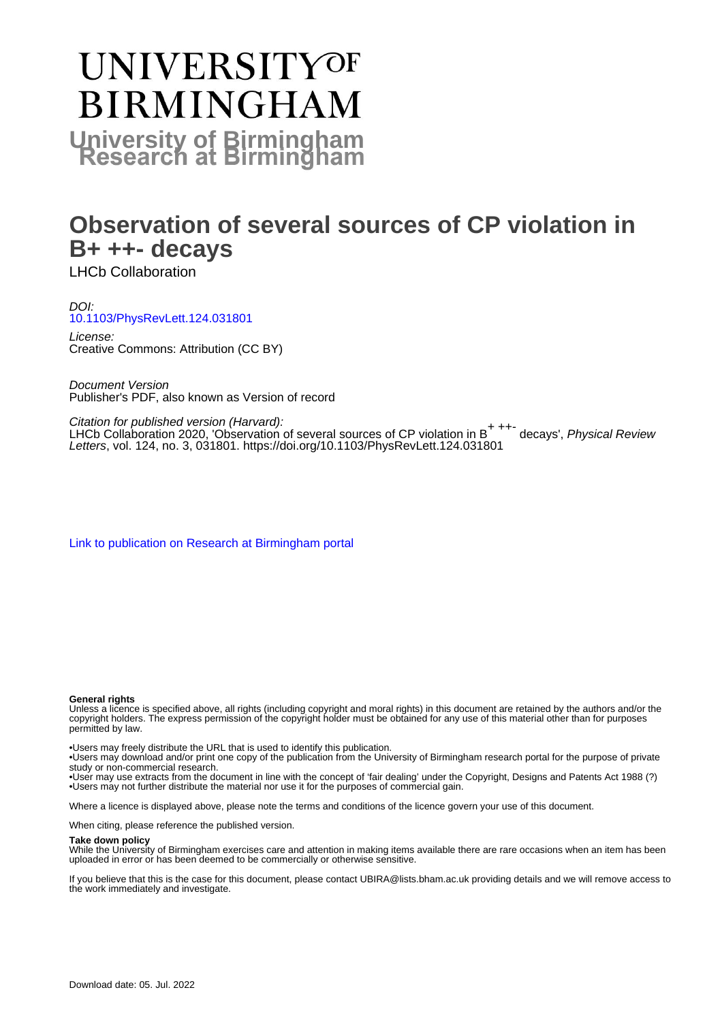# **UNIVERSITYOF BIRMINGHAM University of Birmingham**

# **Observation of several sources of CP violation in B+ ++- decays**

LHCb Collaboration

### DOI: [10.1103/PhysRevLett.124.031801](https://doi.org/10.1103/PhysRevLett.124.031801)

License: Creative Commons: Attribution (CC BY)

Document Version Publisher's PDF, also known as Version of record

#### Citation for published version (Harvard):

Challon for published version (Harvard).<br>LHCb Collaboration 2020, 'Observation of several sources of CP violation in B<sup>+ ++-</sup> decays', *Physical Review* Letters, vol. 124, no. 3, 031801.<https://doi.org/10.1103/PhysRevLett.124.031801>

[Link to publication on Research at Birmingham portal](https://birmingham.elsevierpure.com/en/publications/2653fad1-2fb6-4834-b0ca-98973c3deaeb)

#### **General rights**

Unless a licence is specified above, all rights (including copyright and moral rights) in this document are retained by the authors and/or the copyright holders. The express permission of the copyright holder must be obtained for any use of this material other than for purposes permitted by law.

• Users may freely distribute the URL that is used to identify this publication.

• Users may download and/or print one copy of the publication from the University of Birmingham research portal for the purpose of private study or non-commercial research.

• User may use extracts from the document in line with the concept of 'fair dealing' under the Copyright, Designs and Patents Act 1988 (?) • Users may not further distribute the material nor use it for the purposes of commercial gain.

Where a licence is displayed above, please note the terms and conditions of the licence govern your use of this document.

When citing, please reference the published version.

#### **Take down policy**

While the University of Birmingham exercises care and attention in making items available there are rare occasions when an item has been uploaded in error or has been deemed to be commercially or otherwise sensitive.

If you believe that this is the case for this document, please contact UBIRA@lists.bham.ac.uk providing details and we will remove access to the work immediately and investigate.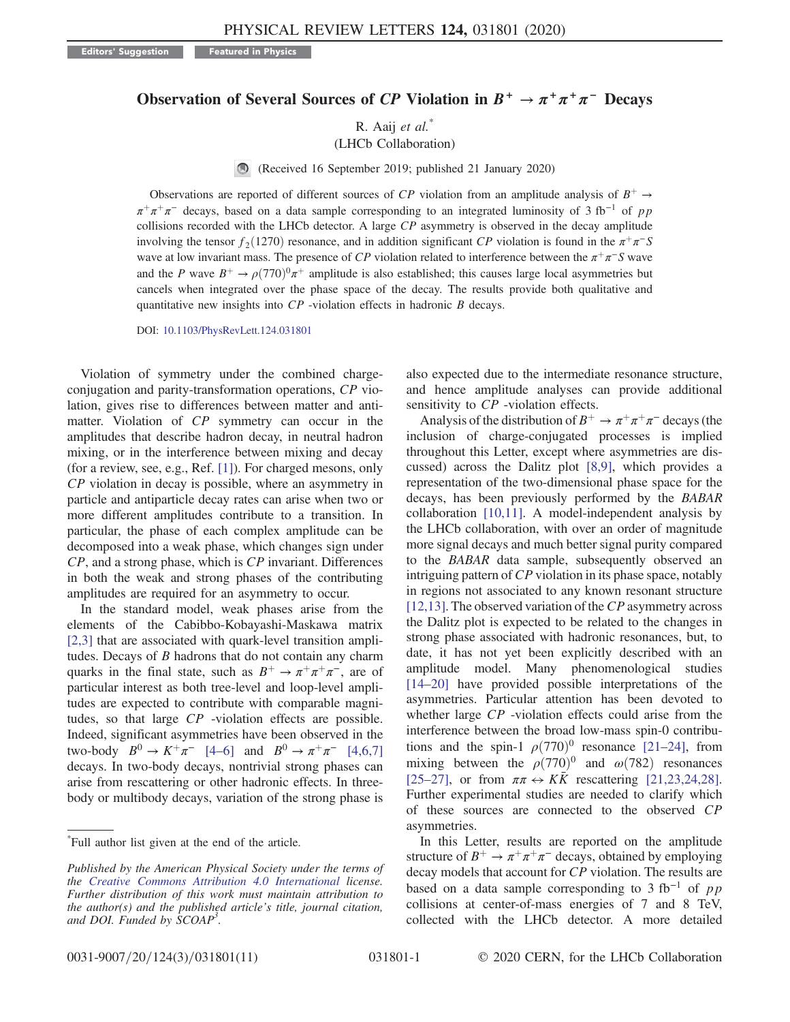Editors' Suggestion **Featured in Physics** 

## Observation of Several Sources of CP Violation in  $B^+ \to \pi^+ \pi^+ \pi^-$  Decays

R. Aaij et al.<sup>\*</sup>

(LHCb Collaboration)

(Received 16 September 2019; published 21 January 2020)

Observations are reported of different sources of CP violation from an amplitude analysis of  $B^+ \rightarrow$  $\pi^+\pi^+\pi^-$  decays, based on a data sample corresponding to an integrated luminosity of 3 fb<sup>-1</sup> of pp collisions recorded with the LHCb detector. A large CP asymmetry is observed in the decay amplitude involving the tensor  $f_2(1270)$  resonance, and in addition significant CP violation is found in the  $\pi^+\pi^-S$ wave at low invariant mass. The presence of CP violation related to interference between the  $\pi^+\pi^-S$  wave and the P wave  $B^+ \rightarrow \rho (770)^0 \pi^+$  amplitude is also established; this causes large local asymmetries but cancels when integrated over the phase space of the decay. The results provide both qualitative and quantitative new insights into  $CP$  -violation effects in hadronic  $B$  decays.

DOI: [10.1103/PhysRevLett.124.031801](https://doi.org/10.1103/PhysRevLett.124.031801)

Violation of symmetry under the combined chargeconjugation and parity-transformation operations, CP violation, gives rise to differences between matter and antimatter. Violation of CP symmetry can occur in the amplitudes that describe hadron decay, in neutral hadron mixing, or in the interference between mixing and decay (for a review, see, e.g., Ref. [\[1\]\)](#page-5-0). For charged mesons, only CP violation in decay is possible, where an asymmetry in particle and antiparticle decay rates can arise when two or more different amplitudes contribute to a transition. In particular, the phase of each complex amplitude can be decomposed into a weak phase, which changes sign under CP, and a strong phase, which is CP invariant. Differences in both the weak and strong phases of the contributing amplitudes are required for an asymmetry to occur.

In the standard model, weak phases arise from the elements of the Cabibbo-Kobayashi-Maskawa matrix [\[2,3\]](#page-5-1) that are associated with quark-level transition amplitudes. Decays of  $B$  hadrons that do not contain any charm quarks in the final state, such as  $B^+ \to \pi^+ \pi^+ \pi^-$ , are of particular interest as both tree-level and loop-level amplitudes are expected to contribute with comparable magnitudes, so that large CP -violation effects are possible. Indeed, significant asymmetries have been observed in the two-body  $B^0 \to K^+\pi^-$  [\[4](#page-5-2)–6] and  $B^0 \to \pi^+\pi^-$  [\[4,6,7\]](#page-5-2) decays. In two-body decays, nontrivial strong phases can arise from rescattering or other hadronic effects. In threebody or multibody decays, variation of the strong phase is also expected due to the intermediate resonance structure, and hence amplitude analyses can provide additional sensitivity to  $CP$  -violation effects.

Analysis of the distribution of  $B^+ \to \pi^+\pi^+\pi^-$  decays (the inclusion of charge-conjugated processes is implied throughout this Letter, except where asymmetries are discussed) across the Dalitz plot [\[8,9\],](#page-6-0) which provides a representation of the two-dimensional phase space for the decays, has been previously performed by the BABAR collaboration [\[10,11\]](#page-6-1). A model-independent analysis by the LHCb collaboration, with over an order of magnitude more signal decays and much better signal purity compared to the BABAR data sample, subsequently observed an intriguing pattern of CP violation in its phase space, notably in regions not associated to any known resonant structure [\[12,13\]](#page-6-2). The observed variation of the  $CP$  asymmetry across the Dalitz plot is expected to be related to the changes in strong phase associated with hadronic resonances, but, to date, it has not yet been explicitly described with an amplitude model. Many phenomenological studies [\[14](#page-6-3)–20] have provided possible interpretations of the asymmetries. Particular attention has been devoted to whether large CP -violation effects could arise from the interference between the broad low-mass spin-0 contributions and the spin-1  $\rho(770)^0$  resonance [\[21](#page-6-4)–24], from mixing between the  $\rho(770)^{0}$  and  $\omega(782)$  resonances [\[25](#page-6-5)–27], or from  $\pi \pi \leftrightarrow K\bar{K}$  rescattering [\[21,23,24,28\]](#page-6-4). Further experimental studies are needed to clarify which of these sources are connected to the observed CP asymmetries.

In this Letter, results are reported on the amplitude structure of  $B^+ \to \pi^+ \pi^+ \pi^-$  decays, obtained by employing decay models that account for CP violation. The results are based on a data sample corresponding to 3 fb<sup>-1</sup> of pp collisions at center-of-mass energies of 7 and 8 TeV, collected with the LHCb detector. A more detailed

<sup>\*</sup> Full author list given at the end of the article.

Published by the American Physical Society under the terms of the [Creative Commons Attribution 4.0 International](https://creativecommons.org/licenses/by/4.0/) license. Further distribution of this work must maintain attribution to the author(s) and the published article's title, journal citation, and DOI. Funded by SCOAP<sup>3</sup>.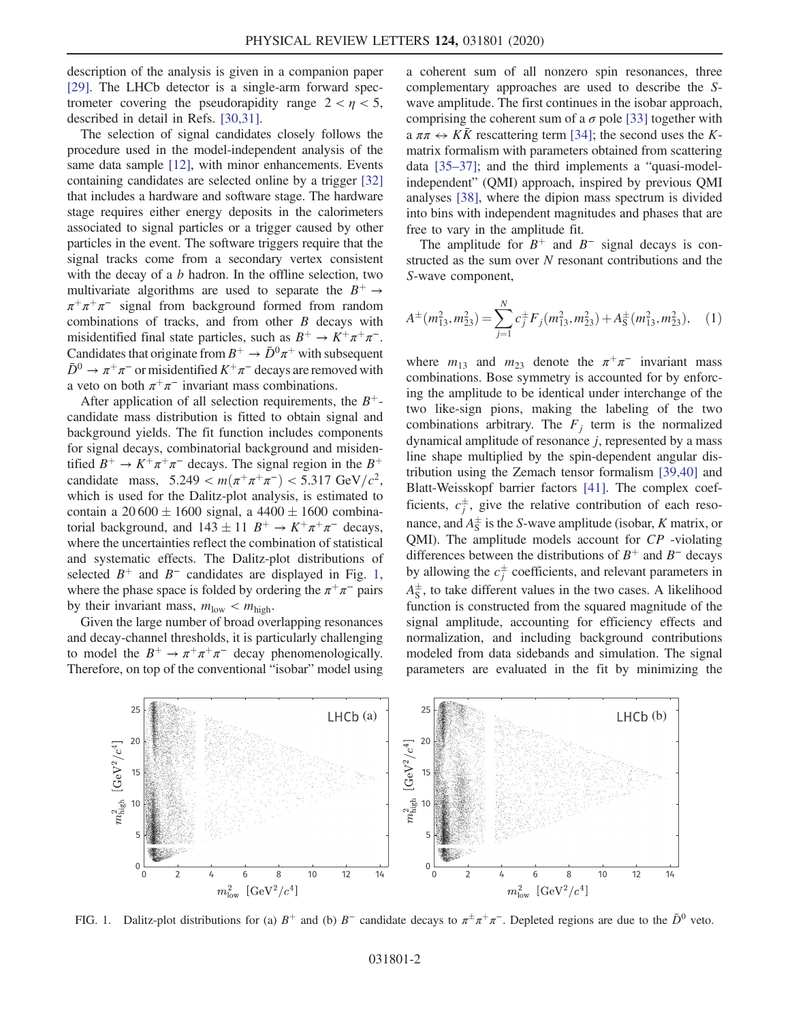description of the analysis is given in a companion paper [\[29\]](#page-6-6). The LHCb detector is a single-arm forward spectrometer covering the pseudorapidity range  $2 < \eta < 5$ , described in detail in Refs. [\[30,31\]](#page-6-7).

The selection of signal candidates closely follows the procedure used in the model-independent analysis of the same data sample [\[12\],](#page-6-2) with minor enhancements. Events containing candidates are selected online by a trigger [\[32\]](#page-6-8) that includes a hardware and software stage. The hardware stage requires either energy deposits in the calorimeters associated to signal particles or a trigger caused by other particles in the event. The software triggers require that the signal tracks come from a secondary vertex consistent with the decay of a  $b$  hadron. In the offline selection, two multivariate algorithms are used to separate the  $B^+ \rightarrow$  $\pi^+\pi^+\pi^-$  signal from background formed from random combinations of tracks, and from other  $B$  decays with misidentified final state particles, such as  $B^+ \to K^+\pi^+\pi^-$ . Candidates that originate from  $B^+ \to \bar{D}^0 \pi^+$  with subsequent  $\bar{D}^0 \to \pi^+\pi^-$  or misidentified  $K^+\pi^-$  decays are removed with a veto on both  $\pi^+\pi^-$  invariant mass combinations.

After application of all selection requirements, the  $B^+$ candidate mass distribution is fitted to obtain signal and background yields. The fit function includes components for signal decays, combinatorial background and misidentified  $B^+ \to K^+\pi^+\pi^-$  decays. The signal region in the  $B^+$ candidate mass,  $5.249 < m(\pi^+\pi^+\pi^-) < 5.317 \text{ GeV}/c^2$ , which is used for the Dalitz-plot analysis, is estimated to contain a  $20\,600 \pm 1600$  signal, a  $4400 \pm 1600$  combinatorial background, and  $143 \pm 11$   $B^+ \rightarrow K^+\pi^+\pi^-$  decays, where the uncertainties reflect the combination of statistical and systematic effects. The Dalitz-plot distributions of selected  $B^+$  and  $B^-$  candidates are displayed in Fig. [1](#page-2-0), where the phase space is folded by ordering the  $\pi^+\pi^-$  pairs by their invariant mass,  $m_{\text{low}} < m_{\text{high}}$ .

Given the large number of broad overlapping resonances and decay-channel thresholds, it is particularly challenging to model the  $B^+ \to \pi^+ \pi^+ \pi^-$  decay phenomenologically. Therefore, on top of the conventional "isobar" model using a coherent sum of all nonzero spin resonances, three complementary approaches are used to describe the Swave amplitude. The first continues in the isobar approach, comprising the coherent sum of a  $\sigma$  pole [\[33\]](#page-6-9) together with a  $\pi \pi \leftrightarrow K\bar{K}$  rescattering term [\[34\]](#page-6-10); the second uses the Kmatrix formalism with parameters obtained from scattering data [35–[37\];](#page-6-11) and the third implements a "quasi-modelindependent" (QMI) approach, inspired by previous QMI analyses [\[38\],](#page-6-12) where the dipion mass spectrum is divided into bins with independent magnitudes and phases that are free to vary in the amplitude fit.

The amplitude for  $B^+$  and  $B^-$  signal decays is constructed as the sum over  $N$  resonant contributions and the S-wave component,

$$
A^{\pm}(m_{13}^2, m_{23}^2) = \sum_{j=1}^N c_j^{\pm} F_j(m_{13}^2, m_{23}^2) + A_{\rm S}^{\pm}(m_{13}^2, m_{23}^2), \quad (1)
$$

where  $m_{13}$  and  $m_{23}$  denote the  $\pi^+\pi^-$  invariant mass combinations. Bose symmetry is accounted for by enforcing the amplitude to be identical under interchange of the two like-sign pions, making the labeling of the two combinations arbitrary. The  $F_j$  term is the normalized dynamical amplitude of resonance  $j$ , represented by a mass line shape multiplied by the spin-dependent angular distribution using the Zemach tensor formalism [\[39,40\]](#page-6-13) and Blatt-Weisskopf barrier factors [\[41\].](#page-6-14) The complex coefficients,  $c_j^{\pm}$ , give the relative contribution of each resonance, and  $A_{\rm S}^{\pm}$  is the S-wave amplitude (isobar, K matrix, or QMI). The amplitude models account for CP -violating differences between the distributions of  $B^+$  and  $B^-$  decays by allowing the  $c_j^{\pm}$  coefficients, and relevant parameters in  $A_{\rm S}^{\pm}$ , to take different values in the two cases. A likelihood function is constructed from the squared magnitude of the signal amplitude, accounting for efficiency effects and normalization, and including background contributions modeled from data sidebands and simulation. The signal parameters are evaluated in the fit by minimizing the

<span id="page-2-0"></span>

FIG. 1. Dalitz-plot distributions for (a)  $B^+$  and (b)  $B^-$  candidate decays to  $\pi^{\pm}\pi^{+}\pi^{-}$ . Depleted regions are due to the  $\bar{D}^0$  veto.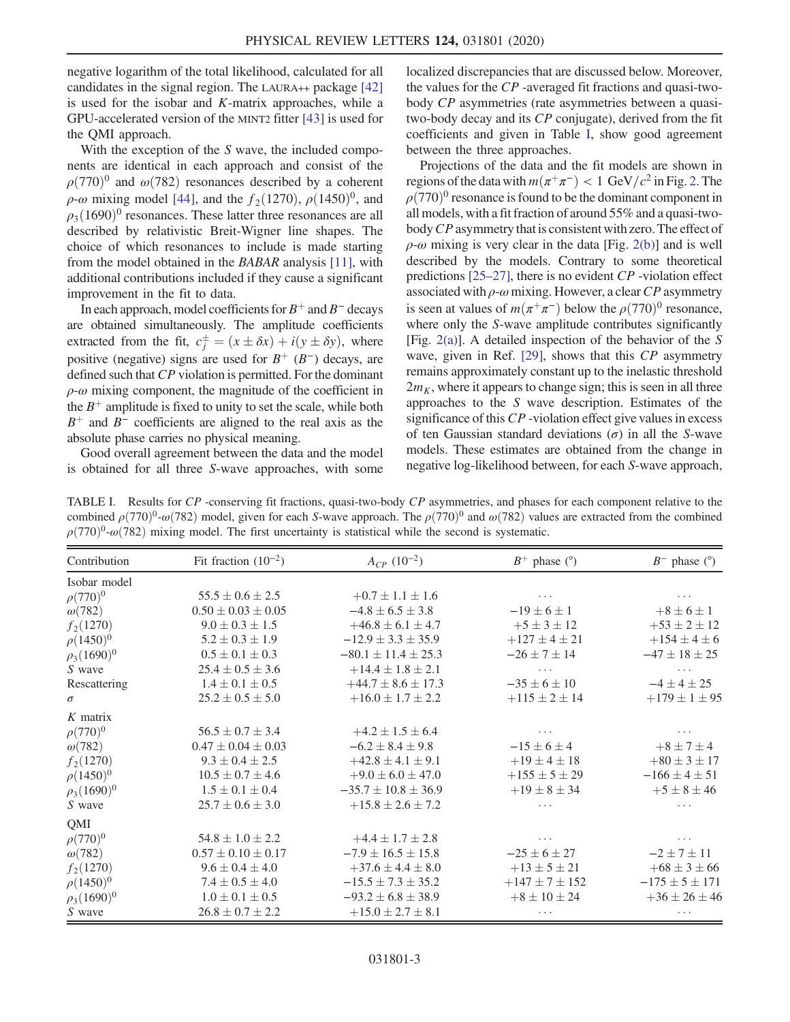negative logarithm of the total likelihood, calculated for all candidates in the signal region. The LAURA++ package [\[42\]](#page-6-15) is used for the isobar and  $K$ -matrix approaches, while a GPU-accelerated version of the MINT2 fitter [\[43\]](#page-6-16) is used for the QMI approach.

With the exception of the  $S$  wave, the included components are identical in each approach and consist of the  $\rho(770)^{0}$  and  $\omega(782)$  resonances described by a coherent  $\rho$ -ω mixing model [\[44\]](#page-6-17), and the  $f_2(1270)$ ,  $\rho(1450)^0$ , and  $\rho_3(1690)^0$  resonances. These latter three resonances are all described by relativistic Breit-Wigner line shapes. The choice of which resonances to include is made starting from the model obtained in the BABAR analysis [\[11\]](#page-6-18), with additional contributions included if they cause a significant improvement in the fit to data.

In each approach, model coefficients for  $B^+$  and  $B^-$  decays are obtained simultaneously. The amplitude coefficients extracted from the fit,  $c_j^{\pm} = (x \pm \delta x) + i(y \pm \delta y)$ , where positive (negative) signs are used for  $B^{+}(B^{-})$  decays, are defined such that CP violation is permitted. For the dominant  $\rho$ - $\omega$  mixing component, the magnitude of the coefficient in the  $B^+$  amplitude is fixed to unity to set the scale, while both  $B^+$  and  $B^-$  coefficients are aligned to the real axis as the absolute phase carries no physical meaning.

Good overall agreement between the data and the model is obtained for all three S-wave approaches, with some localized discrepancies that are discussed below. Moreover, the values for the CP -averaged fit fractions and quasi-twobody CP asymmetries (rate asymmetries between a quasitwo-body decay and its CP conjugate), derived from the fit coefficients and given in Table [I,](#page-3-0) show good agreement between the three approaches.

Projections of the data and the fit models are shown in regions of the data with  $m(\pi^+\pi^-) < 1$  GeV/ $c^2$  in Fig. [2.](#page-4-0) The  $\rho(770)^{0}$  resonance is found to be the dominant component in all models, with a fit fraction of around 55% and a quasi-twobody CP asymmetry that is consistent with zero. The effect of  $\rho$ -ω mixing is very clear in the data [Fig. [2\(b\)\]](#page-4-0) and is well described by the models. Contrary to some theoretical predictions  $[25-27]$ , there is no evident  $CP$  -violation effect associated with  $\rho$ - $\omega$  mixing. However, a clear CP asymmetry is seen at values of  $m(\pi^+\pi^-)$  below the  $\rho(770)^0$  resonance, where only the S-wave amplitude contributes significantly [Fig. [2\(a\)\]](#page-4-0). A detailed inspection of the behavior of the S wave, given in Ref. [\[29\],](#page-6-6) shows that this CP asymmetry remains approximately constant up to the inelastic threshold  $2m<sub>K</sub>$ , where it appears to change sign; this is seen in all three approaches to the S wave description. Estimates of the significance of this CP -violation effect give values in excess of ten Gaussian standard deviations  $(\sigma)$  in all the S-wave models. These estimates are obtained from the change in negative log-likelihood between, for each S-wave approach,

<span id="page-3-0"></span>TABLE I. Results for CP -conserving fit fractions, quasi-two-body CP asymmetries, and phases for each component relative to the combined  $\rho(770)^{0}$ -ω $(782)$  model, given for each S-wave approach. The  $\rho(770)^{0}$  and  $\omega(782)$  values are extracted from the combined  $\rho(770)^{0}$ -ω(782) mixing model. The first uncertainty is statistical while the second is systematic.

| Contribution               | Fit fraction $(10^{-2})$ | $A_{CP}$ (10 <sup>-2</sup> ) | $B^+$ phase (°)      | $B^-$ phase ( $\degree$ ) |
|----------------------------|--------------------------|------------------------------|----------------------|---------------------------|
| Isobar model               |                          |                              |                      |                           |
| $\rho(770)^{0}$            | $55.5 \pm 0.6 \pm 2.5$   | $+0.7 \pm 1.1 \pm 1.6$       | $\cdots$             | $\cdots$                  |
| $\omega(782)$              | $0.50 \pm 0.03 \pm 0.05$ | $-4.8 \pm 6.5 \pm 3.8$       | $-19 \pm 6 \pm 1$    | $+8 \pm 6 \pm 1$          |
| $f_2(1270)$                | $9.0 \pm 0.3 \pm 1.5$    | $+46.8 \pm 6.1 \pm 4.7$      | $+5 \pm 3 \pm 12$    | $+53 \pm 2 \pm 12$        |
| $\rho(1450)^{0}$           | $5.2 \pm 0.3 \pm 1.9$    | $-12.9 \pm 3.3 \pm 35.9$     | $+127 \pm 4 \pm 21$  | $+154 \pm 4 \pm 6$        |
| $\rho_3(1690)^0$           | $0.5 \pm 0.1 \pm 0.3$    | $-80.1 \pm 11.4 \pm 25.3$    | $-26 \pm 7 \pm 14$   | $-47 \pm 18 \pm 25$       |
| S wave                     | $25.4 \pm 0.5 \pm 3.6$   | $+14.4 \pm 1.8 \pm 2.1$      |                      |                           |
| Rescattering               | $1.4 \pm 0.1 \pm 0.5$    | $+44.7 \pm 8.6 \pm 17.3$     | $-35 \pm 6 \pm 10$   | $-4 \pm 4 \pm 25$         |
| $\sigma$                   | $25.2 \pm 0.5 \pm 5.0$   | $+16.0 \pm 1.7 \pm 2.2$      | $+115 \pm 2 \pm 14$  | $+179 \pm 1 \pm 95$       |
| $K$ matrix                 |                          |                              |                      |                           |
| $\rho(770)^{0}$            | $56.5 \pm 0.7 \pm 3.4$   | $+4.2 \pm 1.5 \pm 6.4$       |                      |                           |
| $\omega(782)$              | $0.47 \pm 0.04 \pm 0.03$ | $-6.2 \pm 8.4 \pm 9.8$       | $-15 \pm 6 \pm 4$    | $+8 \pm 7 \pm 4$          |
| $f_2(1270)$                | $9.3 \pm 0.4 \pm 2.5$    | $+42.8 \pm 4.1 \pm 9.1$      | $+19 \pm 4 \pm 18$   | $+80 \pm 3 \pm 17$        |
| $\rho(1450)^{0}$           | $10.5 \pm 0.7 \pm 4.6$   | $+9.0 \pm 6.0 \pm 47.0$      | $+155 \pm 5 \pm 29$  | $-166 \pm 4 \pm 51$       |
| $\rho_3(1690)^0$           | $1.5 \pm 0.1 \pm 0.4$    | $-35.7 \pm 10.8 \pm 36.9$    | $+19 \pm 8 \pm 34$   | $+5 \pm 8 \pm 46$         |
| S wave                     | $25.7 \pm 0.6 \pm 3.0$   | $+15.8 \pm 2.6 \pm 7.2$      | .                    | .                         |
| QMI                        |                          |                              |                      |                           |
| $\rho(770)^{0}$            | $54.8 \pm 1.0 \pm 2.2$   | $+4.4 \pm 1.7 \pm 2.8$       | $\cdots$             | .                         |
| $\omega(782)$              | $0.57 \pm 0.10 \pm 0.17$ | $-7.9 \pm 16.5 \pm 15.8$     | $-25 \pm 6 \pm 27$   | $-2 \pm 7 \pm 11$         |
| $f_2(1270)$                | $9.6 \pm 0.4 \pm 4.0$    | $+37.6 \pm 4.4 \pm 8.0$      | $+13 \pm 5 \pm 21$   | $+68 \pm 3 \pm 66$        |
| $\rho$ (1450) <sup>0</sup> | $7.4 \pm 0.5 \pm 4.0$    | $-15.5 \pm 7.3 \pm 35.2$     | $+147 \pm 7 \pm 152$ | $-175 \pm 5 \pm 171$      |
| $\rho_3(1690)^0$           | $1.0 \pm 0.1 \pm 0.5$    | $-93.2 \pm 6.8 \pm 38.9$     | $+8 \pm 10 \pm 24$   | $+36 \pm 26 \pm 46$       |
| S wave                     | $26.8 \pm 0.7 \pm 2.2$   | $+15.0 \pm 2.7 \pm 8.1$      |                      |                           |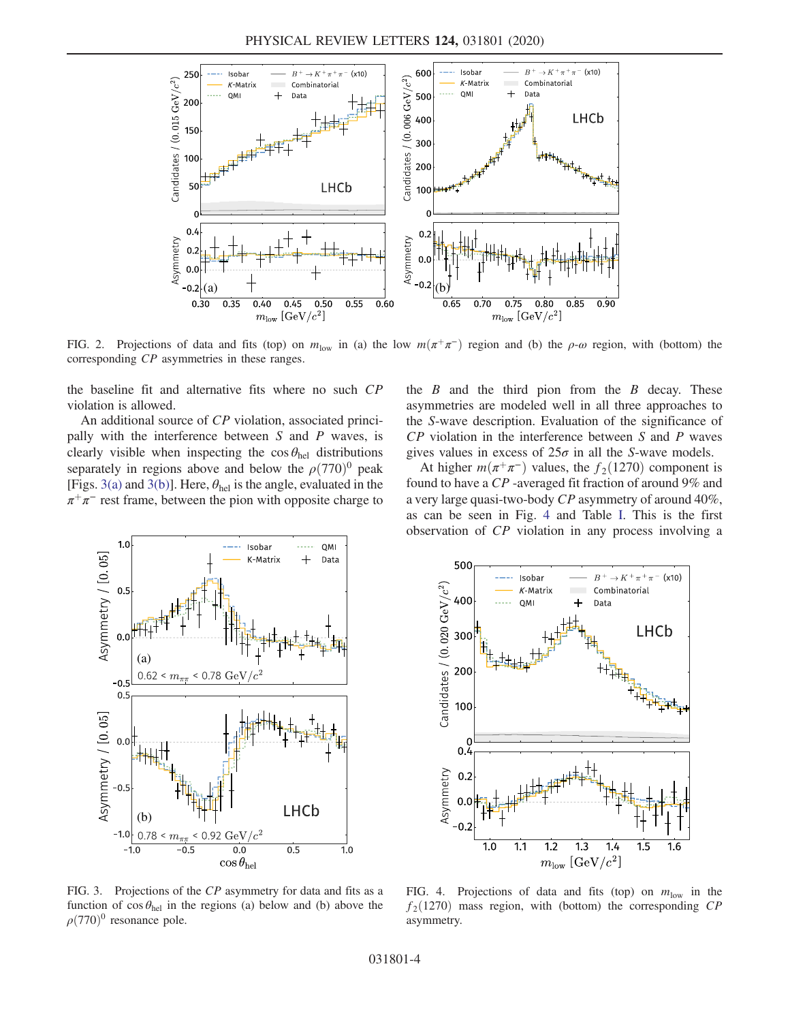<span id="page-4-0"></span>

FIG. 2. Projections of data and fits (top) on  $m_{\text{low}}$  in (a) the low  $m(\pi^+\pi^-)$  region and (b) the  $\rho$ - $\omega$  region, with (bottom) the corresponding CP asymmetries in these ranges.

the baseline fit and alternative fits where no such CP violation is allowed.

An additional source of CP violation, associated principally with the interference between  $S$  and  $P$  waves, is clearly visible when inspecting the  $\cos \theta_{\text{hel}}$  distributions separately in regions above and below the  $\rho(770)^0$  peak [Figs. [3\(a\)](#page-4-1) and [3\(b\)](#page-4-1)]. Here,  $\theta_{hel}$  is the angle, evaluated in the  $\pi^+\pi^-$  rest frame, between the pion with opposite charge to the  $B$  and the third pion from the  $B$  decay. These asymmetries are modeled well in all three approaches to the S-wave description. Evaluation of the significance of CP violation in the interference between S and P waves gives values in excess of  $25\sigma$  in all the S-wave models.

At higher  $m(\pi^+\pi^-)$  values, the  $f_2(1270)$  component is found to have a CP -averaged fit fraction of around 9% and a very large quasi-two-body CP asymmetry of around 40%, as can be seen in Fig. [4](#page-4-2) and Table [I.](#page-3-0) This is the first observation of CP violation in any process involving a

<span id="page-4-1"></span>

<span id="page-4-2"></span>

FIG. 3. Projections of the CP asymmetry for data and fits as a function of  $\cos \theta_{hel}$  in the regions (a) below and (b) above the  $\rho$ (770)<sup>0</sup> resonance pole.

FIG. 4. Projections of data and fits (top) on  $m_{\text{low}}$  in the  $f_2(1270)$  mass region, with (bottom) the corresponding CP asymmetry.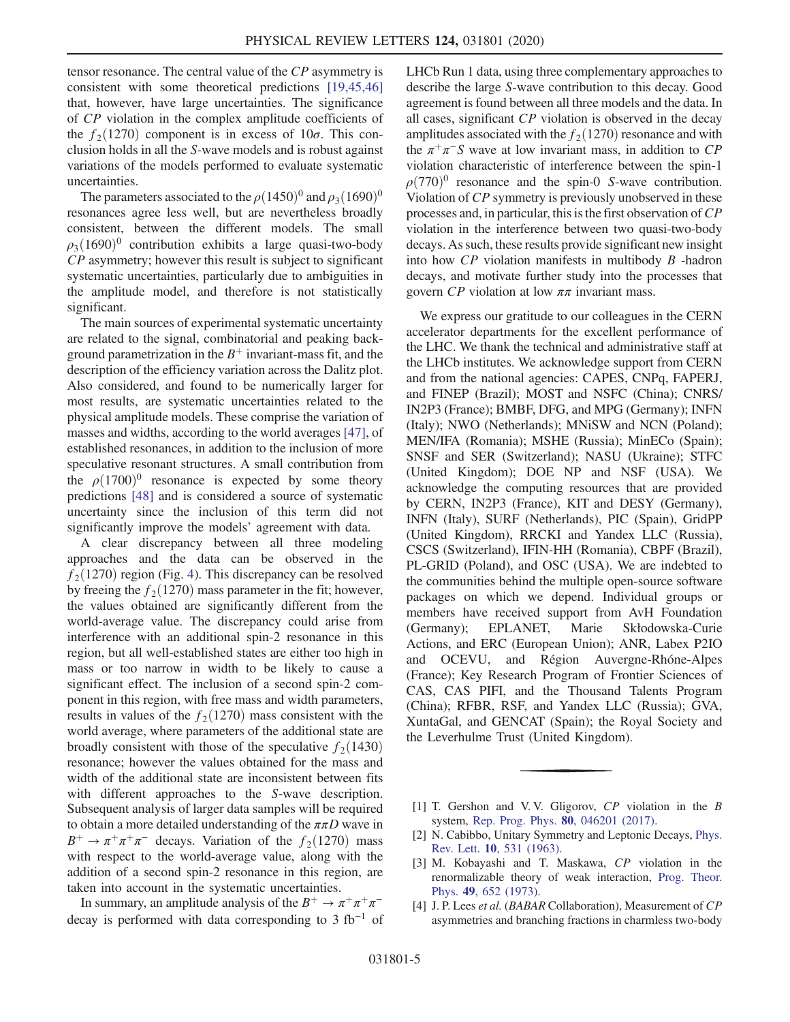tensor resonance. The central value of the CP asymmetry is consistent with some theoretical predictions [\[19,45,46\]](#page-6-19) that, however, have large uncertainties. The significance of CP violation in the complex amplitude coefficients of the  $f_2(1270)$  component is in excess of  $10\sigma$ . This conclusion holds in all the S-wave models and is robust against variations of the models performed to evaluate systematic uncertainties.

The parameters associated to the  $\rho (1450)^{0}$  and  $\rho_3(1690)^{0}$ resonances agree less well, but are nevertheless broadly consistent, between the different models. The small  $\rho_3(1690)^0$  contribution exhibits a large quasi-two-body CP asymmetry; however this result is subject to significant systematic uncertainties, particularly due to ambiguities in the amplitude model, and therefore is not statistically significant.

The main sources of experimental systematic uncertainty are related to the signal, combinatorial and peaking background parametrization in the  $B^+$  invariant-mass fit, and the description of the efficiency variation across the Dalitz plot. Also considered, and found to be numerically larger for most results, are systematic uncertainties related to the physical amplitude models. These comprise the variation of masses and widths, according to the world averages [\[47\],](#page-7-0) of established resonances, in addition to the inclusion of more speculative resonant structures. A small contribution from the  $\rho(1700)^0$  resonance is expected by some theory predictions [\[48\]](#page-7-1) and is considered a source of systematic uncertainty since the inclusion of this term did not significantly improve the models' agreement with data.

A clear discrepancy between all three modeling approaches and the data can be observed in the  $f_2(1270)$  region (Fig. [4\)](#page-4-2). This discrepancy can be resolved by freeing the  $f_2(1270)$  mass parameter in the fit; however, the values obtained are significantly different from the world-average value. The discrepancy could arise from interference with an additional spin-2 resonance in this region, but all well-established states are either too high in mass or too narrow in width to be likely to cause a significant effect. The inclusion of a second spin-2 component in this region, with free mass and width parameters, results in values of the  $f_2(1270)$  mass consistent with the world average, where parameters of the additional state are broadly consistent with those of the speculative  $f_2(1430)$ resonance; however the values obtained for the mass and width of the additional state are inconsistent between fits with different approaches to the S-wave description. Subsequent analysis of larger data samples will be required to obtain a more detailed understanding of the  $\pi\pi D$  wave in  $B^+ \to \pi^+ \pi^+ \pi^-$  decays. Variation of the  $f_2(1270)$  mass with respect to the world-average value, along with the addition of a second spin-2 resonance in this region, are taken into account in the systematic uncertainties.

In summary, an amplitude analysis of the  $B^+ \to \pi^+ \pi^$ decay is performed with data corresponding to 3 fb<sup>-1</sup> of LHCb Run 1 data, using three complementary approaches to describe the large S-wave contribution to this decay. Good agreement is found between all three models and the data. In all cases, significant CP violation is observed in the decay amplitudes associated with the  $f_2(1270)$  resonance and with the  $\pi^+\pi^-S$  wave at low invariant mass, in addition to CP violation characteristic of interference between the spin-1  $\rho(770)^0$  resonance and the spin-0 S-wave contribution. Violation of CP symmetry is previously unobserved in these processes and, in particular, this is the first observation of  $\mathbb{CP}$ violation in the interference between two quasi-two-body decays. As such, these results provide significant new insight into how CP violation manifests in multibody B -hadron decays, and motivate further study into the processes that govern  $CP$  violation at low  $\pi\pi$  invariant mass.

We express our gratitude to our colleagues in the CERN accelerator departments for the excellent performance of the LHC. We thank the technical and administrative staff at the LHCb institutes. We acknowledge support from CERN and from the national agencies: CAPES, CNPq, FAPERJ, and FINEP (Brazil); MOST and NSFC (China); CNRS/ IN2P3 (France); BMBF, DFG, and MPG (Germany); INFN (Italy); NWO (Netherlands); MNiSW and NCN (Poland); MEN/IFA (Romania); MSHE (Russia); MinECo (Spain); SNSF and SER (Switzerland); NASU (Ukraine); STFC (United Kingdom); DOE NP and NSF (USA). We acknowledge the computing resources that are provided by CERN, IN2P3 (France), KIT and DESY (Germany), INFN (Italy), SURF (Netherlands), PIC (Spain), GridPP (United Kingdom), RRCKI and Yandex LLC (Russia), CSCS (Switzerland), IFIN-HH (Romania), CBPF (Brazil), PL-GRID (Poland), and OSC (USA). We are indebted to the communities behind the multiple open-source software packages on which we depend. Individual groups or members have received support from AvH Foundation (Germany); EPLANET, Marie Skłodowska-Curie Actions, and ERC (European Union); ANR, Labex P2IO and OCEVU, and Région Auvergne-Rhóne-Alpes (France); Key Research Program of Frontier Sciences of CAS, CAS PIFI, and the Thousand Talents Program (China); RFBR, RSF, and Yandex LLC (Russia); GVA, XuntaGal, and GENCAT (Spain); the Royal Society and the Leverhulme Trust (United Kingdom).

- <span id="page-5-1"></span><span id="page-5-0"></span>[1] T. Gershon and V. V. Gligorov, CP violation in the B system, [Rep. Prog. Phys.](https://doi.org/10.1088/1361-6633/aa5514) 80, 046201 (2017).
- [2] N. Cabibbo, Unitary Symmetry and Leptonic Decays, [Phys.](https://doi.org/10.1103/PhysRevLett.10.531) Rev. Lett. 10[, 531 \(1963\).](https://doi.org/10.1103/PhysRevLett.10.531)
- <span id="page-5-2"></span>[3] M. Kobayashi and T. Maskawa, CP violation in the renormalizable theory of weak interaction, [Prog. Theor.](https://doi.org/10.1143/PTP.49.652) Phys. 49[, 652 \(1973\).](https://doi.org/10.1143/PTP.49.652)
- [4] J. P. Lees et al. (BABAR Collaboration), Measurement of CP asymmetries and branching fractions in charmless two-body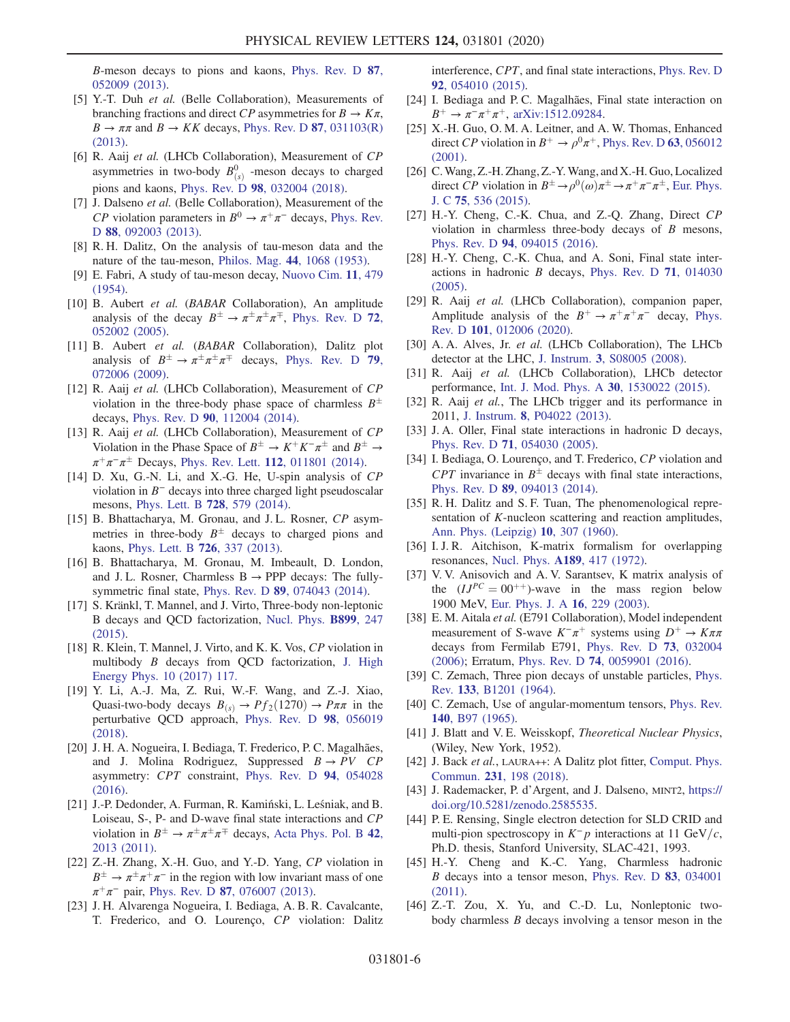B-meson decays to pions and kaons, [Phys. Rev. D](https://doi.org/10.1103/PhysRevD.87.052009) 87, [052009 \(2013\).](https://doi.org/10.1103/PhysRevD.87.052009)

- [5] Y.-T. Duh et al. (Belle Collaboration), Measurements of branching fractions and direct CP asymmetries for  $B \to K\pi$ ,  $B \to \pi\pi$  and  $B \to KK$  decays, [Phys. Rev. D](https://doi.org/10.1103/PhysRevD.87.031103) 87, 031103(R) [\(2013\).](https://doi.org/10.1103/PhysRevD.87.031103)
- [6] R. Aaij et al. (LHCb Collaboration), Measurement of CP asymmetries in two-body  $B^0_{(s)}$  -meson decays to charged pions and kaons, Phys. Rev. D 98[, 032004 \(2018\)](https://doi.org/10.1103/PhysRevD.98.032004).
- [7] J. Dalseno et al. (Belle Collaboration), Measurement of the CP violation parameters in  $B^0 \to \pi^+\pi^-$  decays, [Phys. Rev.](https://doi.org/10.1103/PhysRevD.88.092003) D 88[, 092003 \(2013\)](https://doi.org/10.1103/PhysRevD.88.092003).
- <span id="page-6-0"></span>[8] R. H. Dalitz, On the analysis of tau-meson data and the nature of the tau-meson, Philos. Mag. 44[, 1068 \(1953\).](https://doi.org/10.1080/14786441008520365)
- [9] E. Fabri, A study of tau-meson decay, [Nuovo Cim.](https://doi.org/10.1007/BF02781042) 11, 479  $(1954)$ .
- <span id="page-6-1"></span>[10] B. Aubert et al. (BABAR Collaboration), An amplitude analysis of the decay  $B^{\pm} \to \pi^{\pm} \pi^{\pm} \pi^{\mp}$ , [Phys. Rev. D](https://doi.org/10.1103/PhysRevD.72.052002) 72, [052002 \(2005\).](https://doi.org/10.1103/PhysRevD.72.052002)
- <span id="page-6-18"></span>[11] B. Aubert et al. (BABAR Collaboration), Dalitz plot analysis of  $B^{\pm} \to \pi^{\pm} \pi^{\pm} \pi^{\mp}$  decays, [Phys. Rev. D](https://doi.org/10.1103/PhysRevD.79.072006) 79, [072006 \(2009\).](https://doi.org/10.1103/PhysRevD.79.072006)
- <span id="page-6-2"></span>[12] R. Aaij et al. (LHCb Collaboration), Measurement of CP violation in the three-body phase space of charmless  $B^{\pm}$ decays, Phys. Rev. D 90[, 112004 \(2014\).](https://doi.org/10.1103/PhysRevD.90.112004)
- [13] R. Aaij et al. (LHCb Collaboration), Measurement of CP Violation in the Phase Space of  $B^{\pm} \to K^{+}K^{-}\pi^{\pm}$  and  $B^{\pm} \to$  $\pi^+\pi^-\pi^{\pm}$  Decays, Phys. Rev. Lett. 112[, 011801 \(2014\)](https://doi.org/10.1103/PhysRevLett.112.011801).
- <span id="page-6-3"></span>[14] D. Xu, G.-N. Li, and X.-G. He, U-spin analysis of CP violation in B<sup>−</sup> decays into three charged light pseudoscalar mesons, [Phys. Lett. B](https://doi.org/10.1016/j.physletb.2013.12.040) 728, 579 (2014).
- [15] B. Bhattacharya, M. Gronau, and J. L. Rosner, CP asymmetries in three-body  $B^{\pm}$  decays to charged pions and kaons, [Phys. Lett. B](https://doi.org/10.1016/j.physletb.2013.08.062) 726, 337 (2013).
- [16] B. Bhattacharya, M. Gronau, M. Imbeault, D. London, and J.L. Rosner, Charmless  $B \rightarrow PPP$  decays: The fullysymmetric final state, Phys. Rev. D 89[, 074043 \(2014\).](https://doi.org/10.1103/PhysRevD.89.074043)
- [17] S. Kränkl, T. Mannel, and J. Virto, Three-body non-leptonic B decays and QCD factorization, [Nucl. Phys.](https://doi.org/10.1016/j.nuclphysb.2015.08.004) B899, 247 [\(2015\).](https://doi.org/10.1016/j.nuclphysb.2015.08.004)
- [18] R. Klein, T. Mannel, J. Virto, and K. K. Vos, CP violation in multibody B decays from QCD factorization, [J. High](https://doi.org/10.1007/JHEP10(2017)117) [Energy Phys. 10 \(2017\) 117.](https://doi.org/10.1007/JHEP10(2017)117)
- <span id="page-6-19"></span>[19] Y. Li, A.-J. Ma, Z. Rui, W.-F. Wang, and Z.-J. Xiao, Quasi-two-body decays  $B_{(s)} \rightarrow Pf_2(1270) \rightarrow P \pi \pi$  in the perturbative QCD approach, [Phys. Rev. D](https://doi.org/10.1103/PhysRevD.98.056019) 98, 056019 [\(2018\).](https://doi.org/10.1103/PhysRevD.98.056019)
- [20] J. H. A. Nogueira, I. Bediaga, T. Frederico, P. C. Magalhães, and J. Molina Rodriguez, Suppressed  $B \rightarrow PV$  CP asymmetry: CPT constraint, [Phys. Rev. D](https://doi.org/10.1103/PhysRevD.94.054028) 94, 054028 [\(2016\).](https://doi.org/10.1103/PhysRevD.94.054028)
- <span id="page-6-4"></span>[21] J.-P. Dedonder, A. Furman, R. Kamiński, L. Leśniak, and B. Loiseau, S-, P- and D-wave final state interactions and CP violation in  $B^{\pm} \to \pi^{\pm} \pi^{\pm} \pi^{\mp}$  decays, [Acta Phys. Pol. B](https://doi.org/10.5506/APhysPolB.42.2013) 42, [2013 \(2011\)](https://doi.org/10.5506/APhysPolB.42.2013).
- [22] Z.-H. Zhang, X.-H. Guo, and Y.-D. Yang, CP violation in  $B^{\pm} \rightarrow \pi^{\pm} \pi^+ \pi^-$  in the region with low invariant mass of one  $\pi^{+}\pi^{-}$  pair, Phys. Rev. D 87[, 076007 \(2013\).](https://doi.org/10.1103/PhysRevD.87.076007)
- [23] J. H. Alvarenga Nogueira, I. Bediaga, A. B. R. Cavalcante, T. Frederico, and O. Lourenço, CP violation: Dalitz

interference, CPT, and final state interactions, [Phys. Rev. D](https://doi.org/10.1103/PhysRevD.92.054010) 92[, 054010 \(2015\).](https://doi.org/10.1103/PhysRevD.92.054010)

- [24] I. Bediaga and P. C. Magalhães, Final state interaction on  $B^+ \to \pi^- \pi^+ \pi^+$ , [arXiv:1512.09284.](https://arXiv.org/abs/1512.09284)
- <span id="page-6-5"></span>[25] X.-H. Guo, O. M. A. Leitner, and A. W. Thomas, Enhanced direct CP violation in  $B^+ \to \rho^0 \pi^+$ , [Phys. Rev. D](https://doi.org/10.1103/PhysRevD.63.056012) 63, 056012 [\(2001\).](https://doi.org/10.1103/PhysRevD.63.056012)
- [26] C. Wang, Z.-H. Zhang, Z.-Y. Wang, and X.-H. Guo, Localized direct CP violation in  $B^{\pm} \rightarrow \rho^0(\omega)\pi^{\pm} \rightarrow \pi^+\pi^-\pi^{\pm}$ , [Eur. Phys.](https://doi.org/10.1140/epjc/s10052-015-3757-2) J. C 75[, 536 \(2015\)](https://doi.org/10.1140/epjc/s10052-015-3757-2).
- [27] H.-Y. Cheng, C.-K. Chua, and Z.-Q. Zhang, Direct CP violation in charmless three-body decays of  $B$  mesons, Phys. Rev. D 94[, 094015 \(2016\)](https://doi.org/10.1103/PhysRevD.94.094015).
- [28] H.-Y. Cheng, C.-K. Chua, and A. Soni, Final state interactions in hadronic B decays, [Phys. Rev. D](https://doi.org/10.1103/PhysRevD.71.014030) 71, 014030 [\(2005\).](https://doi.org/10.1103/PhysRevD.71.014030)
- <span id="page-6-6"></span>[29] R. Aaij et al. (LHCb Collaboration), companion paper, Amplitude analysis of the  $B^+ \to \pi^+ \pi^+ \pi^-$  decay, [Phys.](https://doi.org/10.1103/PhysRevD.101.012006) Rev. D 101[, 012006 \(2020\)](https://doi.org/10.1103/PhysRevD.101.012006).
- <span id="page-6-7"></span>[30] A. A. Alves, Jr. et al. (LHCb Collaboration), The LHCb detector at the LHC, J. Instrum. 3[, S08005 \(2008\)](https://doi.org/10.1088/1748-0221/3/08/S08005).
- [31] R. Aaij et al. (LHCb Collaboration), LHCb detector performance, [Int. J. Mod. Phys. A](https://doi.org/10.1142/S0217751X15300227) 30, 1530022 (2015).
- <span id="page-6-8"></span>[32] R. Aaij *et al.*, The LHCb trigger and its performance in 2011, J. Instrum. 8[, P04022 \(2013\).](https://doi.org/10.1088/1748-0221/8/04/P04022)
- <span id="page-6-9"></span>[33] J. A. Oller, Final state interactions in hadronic D decays, Phys. Rev. D 71[, 054030 \(2005\)](https://doi.org/10.1103/PhysRevD.71.054030).
- <span id="page-6-10"></span>[34] I. Bediaga, O. Lourenço, and T. Frederico, CP violation and CPT invariance in  $B^{\pm}$  decays with final state interactions, Phys. Rev. D 89[, 094013 \(2014\)](https://doi.org/10.1103/PhysRevD.89.094013).
- <span id="page-6-11"></span>[35] R. H. Dalitz and S. F. Tuan, The phenomenological representation of K-nucleon scattering and reaction amplitudes, [Ann. Phys. \(Leipzig\)](https://doi.org/10.1016/0003-4916(60)90001-4) 10, 307 (1960).
- [36] I.J.R. Aitchison, K-matrix formalism for overlapping resonances, Nucl. Phys. A189[, 417 \(1972\)](https://doi.org/10.1016/0375-9474(72)90305-3).
- [37] V. V. Anisovich and A. V. Sarantsev, K matrix analysis of the  $(IJ^{PC} = 00^{++})$ -wave in the mass region below 1900 MeV, [Eur. Phys. J. A](https://doi.org/10.1140/epja/i2002-10068-x) 16, 229 (2003).
- <span id="page-6-12"></span>[38] E. M. Aitala et al. (E791 Collaboration), Model independent measurement of S-wave  $K^-\pi^+$  systems using  $D^+ \to K\pi\pi$ decays from Fermilab E791, [Phys. Rev. D](https://doi.org/10.1103/PhysRevD.73.032004) 73, 032004 [\(2006\);](https://doi.org/10.1103/PhysRevD.73.032004) Erratum, Phys. Rev. D 74[, 0059901 \(2016\).](https://doi.org/10.1103/PhysRevD.74.059901)
- <span id="page-6-13"></span>[39] C. Zemach, Three pion decays of unstable particles, [Phys.](https://doi.org/10.1103/PhysRev.133.B1201) Rev. 133[, B1201 \(1964\).](https://doi.org/10.1103/PhysRev.133.B1201)
- <span id="page-6-14"></span>[40] C. Zemach, Use of angular-momentum tensors, [Phys. Rev.](https://doi.org/10.1103/PhysRev.140.B97) 140[, B97 \(1965\)](https://doi.org/10.1103/PhysRev.140.B97).
- <span id="page-6-15"></span>[41] J. Blatt and V. E. Weisskopf, Theoretical Nuclear Physics, (Wiley, New York, 1952).
- <span id="page-6-16"></span>[42] J. Back et al., LAURA++: A Dalitz plot fitter, [Comput. Phys.](https://doi.org/10.1016/j.cpc.2018.04.017) Commun. 231[, 198 \(2018\)](https://doi.org/10.1016/j.cpc.2018.04.017).
- <span id="page-6-17"></span>[43] J. Rademacker, P. d'Argent, and J. Dalseno, MINT2, [https://](https://doi.org/10.5281/zenodo.2585535) [doi.org/10.5281/zenodo.2585535.](https://doi.org/10.5281/zenodo.2585535)
- [44] P. E. Rensing, Single electron detection for SLD CRID and multi-pion spectroscopy in  $K^-p$  interactions at 11 GeV/c, Ph.D. thesis, Stanford University, SLAC-421, 1993.
- [45] H.-Y. Cheng and K.-C. Yang, Charmless hadronic B decays into a tensor meson, [Phys. Rev. D](https://doi.org/10.1103/PhysRevD.83.034001) 83, 034001 [\(2011\).](https://doi.org/10.1103/PhysRevD.83.034001)
- [46] Z.-T. Zou, X. Yu, and C.-D. Lu, Nonleptonic twobody charmless B decays involving a tensor meson in the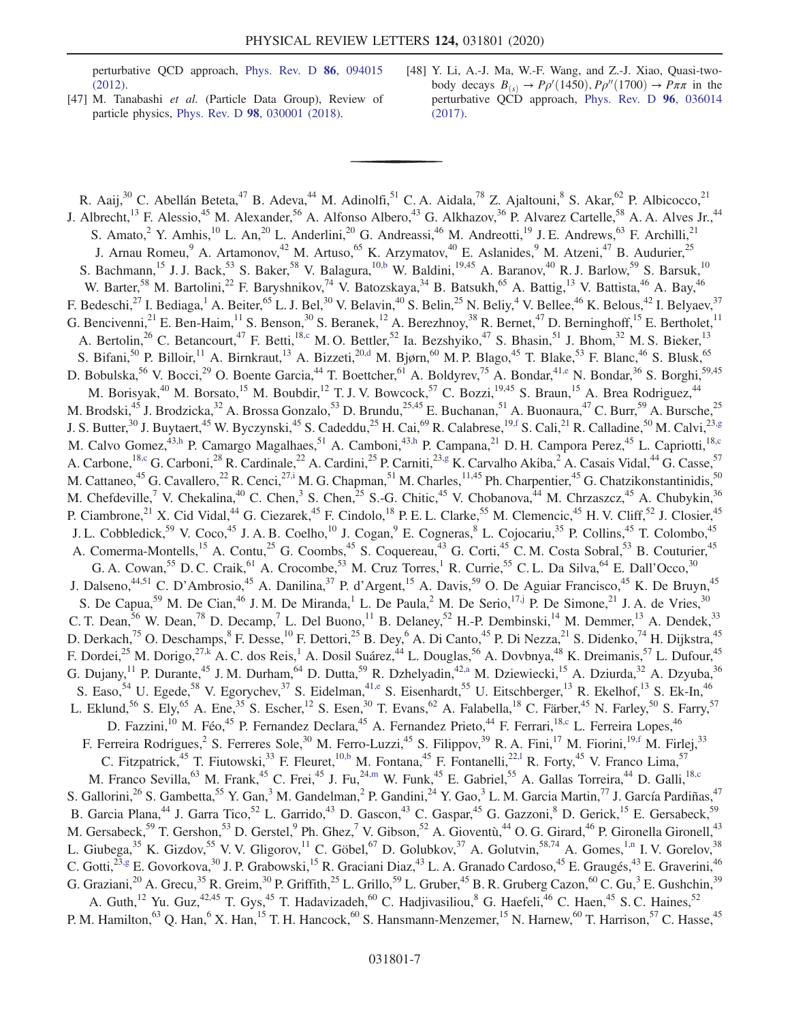perturbative QCD approach, [Phys. Rev. D](https://doi.org/10.1103/PhysRevD.86.094015) 86, 094015 [\(2012\).](https://doi.org/10.1103/PhysRevD.86.094015)

- <span id="page-7-0"></span>[47] M. Tanabashi et al. (Particle Data Group), Review of particle physics, Phys. Rev. D 98[, 030001 \(2018\).](https://doi.org/10.1103/PhysRevD.98.030001)
- <span id="page-7-1"></span>[48] Y. Li, A.-J. Ma, W.-F. Wang, and Z.-J. Xiao, Quasi-twobody decays  $B_{(s)} \to P \rho' (1450)$ ,  $P \rho'' (1700) \to P \pi \pi$  in the perturbative QCD approach, [Phys. Rev. D](https://doi.org/10.1103/PhysRevD.96.036014) 96, 036014 [\(2017\).](https://doi.org/10.1103/PhysRevD.96.036014)

<span id="page-7-13"></span><span id="page-7-12"></span><span id="page-7-11"></span><span id="page-7-10"></span><span id="page-7-9"></span><span id="page-7-8"></span><span id="page-7-7"></span><span id="page-7-6"></span><span id="page-7-5"></span><span id="page-7-4"></span><span id="page-7-3"></span><span id="page-7-2"></span>R. Aaij, $30$  C. Abellán Beteta, $47$  B. Adeva, $44$  M. Adinolfi, $51$  C. A. Aidala, $78$  Z. Ajaltouni, $8$  S. Akar, $62$  P. Albicocco, $21$ J. Albrecht,<sup>13</sup> F. Alessio,<sup>45</sup> M. Alexander,<sup>56</sup> A. Alfonso Albero,<sup>43</sup> G. Alkhazov,<sup>36</sup> P. Alvarez Cartelle,<sup>58</sup> A. A. Alves Jr.,<sup>44</sup> S. Amato,<sup>2</sup> Y. Amhis,<sup>10</sup> L. An,<sup>20</sup> L. Anderlini,<sup>20</sup> G. Andreassi,<sup>46</sup> M. Andreotti,<sup>19</sup> J. E. Andrews,<sup>63</sup> F. Archilli,<sup>21</sup> J. Arnau Romeu,<sup>9</sup> A. Artamonov,<sup>42</sup> M. Artuso,<sup>65</sup> K. Arzymatov,<sup>40</sup> E. Aslanides,<sup>9</sup> M. Atzeni,<sup>47</sup> B. Audurier,<sup>25</sup> S. Bachmann,<sup>15</sup> J. J. Back,<sup>53</sup> S. Baker,<sup>58</sup> V. Balagura,<sup>1[0,b](#page-11-0)</sup> W. Baldini,<sup>19,45</sup> A. Baranov,<sup>40</sup> R. J. Barlow,<sup>59</sup> S. Barsuk,<sup>10</sup> W. Barter,<sup>58</sup> M. Bartolini,<sup>22</sup> F. Baryshnikov,<sup>74</sup> V. Batozskaya,<sup>34</sup> B. Batsukh,<sup>65</sup> A. Battig,<sup>13</sup> V. Battista,<sup>46</sup> A. Bay,<sup>46</sup> F. Bedeschi,<sup>27</sup> I. Bediaga,<sup>1</sup> A. Beiter,<sup>65</sup> L. J. Bel,<sup>30</sup> V. Belavin,<sup>40</sup> S. Belin,<sup>25</sup> N. Beliy,<sup>4</sup> V. Bellee,<sup>46</sup> K. Belous,<sup>42</sup> I. Belyaev,<sup>37</sup> G. Bencivenni,<sup>21</sup> E. Ben-Haim,<sup>11</sup> S. Benson,<sup>30</sup> S. Beranek,<sup>12</sup> A. Berezhnoy,<sup>38</sup> R. Bernet,<sup>47</sup> D. Berninghoff,<sup>15</sup> E. Bertholet,<sup>11</sup> A. Bertolin,<sup>26</sup> C. Betancourt,<sup>47</sup> F. Betti,<sup>1[8,c](#page-11-1)</sup> M. O. Bettler,<sup>52</sup> Ia. Bezshyiko,<sup>47</sup> S. Bhasin,<sup>51</sup> J. Bhom,<sup>32</sup> M. S. Bieker,<sup>13</sup> S. Bifani,<sup>50</sup> P. Billoir,<sup>11</sup> A. Birnkraut,<sup>13</sup> A. Bizzeti,<sup>2[0,d](#page-11-2)</sup> M. Bjørn,<sup>60</sup> M. P. Blago,<sup>45</sup> T. Blake,<sup>53</sup> F. Blanc,<sup>46</sup> S. Blusk,<sup>65</sup> D. Bobulska,<sup>56</sup> V. Bocci,<sup>29</sup> O. Boente Garcia,<sup>44</sup> T. Boettcher,<sup>61</sup> A. Boldyrev,<sup>75</sup> A. Bondar,<sup>4[1,e](#page-11-3)</sup> N. Bondar,<sup>36</sup> S. Borghi,<sup>59,45</sup> M. Borisyak,<sup>40</sup> M. Borsato,<sup>15</sup> M. Boubdir,<sup>12</sup> T. J. V. Bowcock,<sup>57</sup> C. Bozzi,<sup>19,45</sup> S. Braun,<sup>15</sup> A. Brea Rodriguez,<sup>44</sup> M. Brodski,<sup>45</sup> J. Brodzicka,<sup>32</sup> A. Brossa Gonzalo,<sup>53</sup> D. Brundu,<sup>25,45</sup> E. Buchanan,<sup>51</sup> A. Buonaura,<sup>47</sup> C. Burr,<sup>59</sup> A. Bursche,<sup>25</sup> J. S. Butter,<sup>30</sup> J. Buytaert,<sup>45</sup> W. Byczynski,<sup>45</sup> S. Cadeddu,<sup>25</sup> H. Cai,<sup>69</sup> R. Calabrese,<sup>19[,f](#page-11-4)</sup> S. Cali,<sup>21</sup> R. Calladine,<sup>50</sup> M. Calvi,<sup>23[,g](#page-11-5)</sup> M. Calvo Gomez,<sup>43[,h](#page-11-6)</sup> P. Camargo Magalhaes,<sup>51</sup> A. Camboni,<sup>4[3,h](#page-11-6)</sup> P. Campana,<sup>21</sup> D. H. Campora Perez,<sup>45</sup> L. Capriotti,<sup>1[8,c](#page-11-1)</sup> A. Carbone,<sup>1[8,c](#page-11-1)</sup> G. Carboni,<sup>28</sup> R. Cardinale,<sup>22</sup> A. Cardini,<sup>25</sup> P. Carniti,<sup>23[,g](#page-11-5)</sup> K. Carvalho Akiba,<sup>2</sup> A. Casais Vidal,<sup>44</sup> G. Casse,<sup>57</sup> M. Cattaneo,<sup>45</sup> G. Cavallero,<sup>22</sup> R. Cenci,<sup>2[7,i](#page-11-7)</sup> M. G. Chapman,<sup>51</sup> M. Charles,<sup>11,45</sup> Ph. Charpentier,<sup>45</sup> G. Chatzikonstantinidis,<sup>50</sup> M. Chefdeville,<sup>7</sup> V. Chekalina,<sup>40</sup> C. Chen,<sup>3</sup> S. Chen,<sup>25</sup> S.-G. Chitic,<sup>45</sup> V. Chobanova,<sup>44</sup> M. Chrzaszcz,<sup>45</sup> A. Chubykin,<sup>36</sup> P. Ciambrone,<sup>21</sup> X. Cid Vidal,<sup>44</sup> G. Ciezarek,<sup>45</sup> F. Cindolo,<sup>18</sup> P. E. L. Clarke,<sup>55</sup> M. Clemencic,<sup>45</sup> H. V. Cliff,<sup>52</sup> J. Closier,<sup>45</sup> J. L. Cobbledick,<sup>59</sup> V. Coco,<sup>45</sup> J. A. B. Coelho,<sup>10</sup> J. Cogan,<sup>9</sup> E. Cogneras,<sup>8</sup> L. Cojocariu,<sup>35</sup> P. Collins,<sup>45</sup> T. Colombo,<sup>45</sup> A. Comerma-Montells,<sup>15</sup> A. Contu,<sup>25</sup> G. Coombs,<sup>45</sup> S. Coquereau,<sup>43</sup> G. Corti,<sup>45</sup> C.M. Costa Sobral,<sup>53</sup> B. Couturier,<sup>45</sup> G. A. Cowan,<sup>55</sup> D. C. Craik,<sup>61</sup> A. Crocombe,<sup>53</sup> M. Cruz Torres,<sup>1</sup> R. Currie,<sup>55</sup> C. L. Da Silva,<sup>64</sup> E. Dall'Occo,<sup>30</sup> J. Dalseno,<sup>44,51</sup> C. D'Ambrosio,<sup>45</sup> A. Danilina,<sup>37</sup> P. d'Argent,<sup>15</sup> A. Davis,<sup>59</sup> O. De Aguiar Francisco,<sup>45</sup> K. De Bruyn,<sup>45</sup> S. De Capua,<sup>59</sup> M. De Cian,<sup>46</sup> J. M. De Miranda,<sup>1</sup> L. De Paula,<sup>2</sup> M. De Serio,<sup>1[7,j](#page-11-8)</sup> P. De Simone,<sup>21</sup> J. A. de Vries,<sup>30</sup> C. T. Dean,  $56$  W. Dean,  $78$  D. Decamp,  $7$  L. Del Buono,  $11$  B. Delaney,  $52$  H.-P. Dembinski,  $14$  M. Demmer,  $13$  A. Dendek,  $33$ D. Derkach,<sup>75</sup> O. Deschamps, <sup>8</sup> F. Desse, <sup>10</sup> F. Dettori, <sup>25</sup> B. Dey, <sup>6</sup> A. Di Canto, <sup>45</sup> P. Di Nezza, <sup>21</sup> S. Didenko, <sup>74</sup> H. Dijkstra, <sup>45</sup> F. Dordei,<sup>25</sup> M. Dorigo,<sup>2[7,k](#page-11-9)</sup> A. C. dos Reis,<sup>1</sup> A. Dosil Suárez,<sup>44</sup> L. Douglas,<sup>56</sup> A. Dovbnya,<sup>48</sup> K. Dreimanis,<sup>57</sup> L. Dufour,<sup>45</sup> G. Dujany,  $^{11}$  P. Durante,  $^{45}$  J. M. Durham,  $^{64}$  D. Dutta,  $^{59}$  R. Dzhelyadin,  $^{42,a}$  $^{42,a}$  $^{42,a}$  M. Dziewiecki,  $^{15}$  A. Dziurda,  $^{32}$  A. Dzyuba,  $^{36}$ S. Easo,<sup>54</sup> U. Egede,<sup>58</sup> V. Egorychev,<sup>37</sup> S. Eidelman,<sup>4[1,e](#page-11-3)</sup> S. Eisenhardt,<sup>55</sup> U. Eitschberger,<sup>13</sup> R. Ekelhof,<sup>13</sup> S. Ek-In,<sup>46</sup> L. Eklund,<sup>56</sup> S. Ely,<sup>65</sup> A. Ene,<sup>35</sup> S. Escher,<sup>12</sup> S. Esen,<sup>30</sup> T. Evans,<sup>62</sup> A. Falabella,<sup>18</sup> C. Färber,<sup>45</sup> N. Farley,<sup>50</sup> S. Farry,<sup>57</sup> D. Fazzini,<sup>10</sup> M. Féo,<sup>45</sup> P. Fernandez Declara,<sup>45</sup> A. Fernandez Prieto,<sup>44</sup> F. Ferrari,<sup>1[8,c](#page-11-1)</sup> L. Ferreira Lopes,<sup>46</sup> F. Ferreira Rodrigues,<sup>2</sup> S. Ferreres Sole,<sup>30</sup> M. Ferro-Luzzi,<sup>45</sup> S. Filippov,<sup>39</sup> R. A. Fini,<sup>17</sup> M. Fiorini,<sup>19[,f](#page-11-4)</sup> M. Firlej,<sup>33</sup> C. Fitzpatrick,<sup>45</sup> T. Fiutowski,<sup>33</sup> F. Fleuret,<sup>10[,b](#page-11-0)</sup> M. Fontana,<sup>45</sup> F. Fontanelli,<sup>22,1</sup> R. Forty,<sup>45</sup> V. Franco Lima,<sup>57</sup> M. Franco Sevilla,  $^{63}$  M. Frank,  $^{45}$  C. Frei,  $^{45}$  J. Fu,  $^{24,m}$  $^{24,m}$  $^{24,m}$  W. Funk,  $^{45}$  E. Gabriel,  $^{55}$  A. Gallas Torreira,  $^{44}$  D. Galli,  $^{18,c}$  $^{18,c}$  $^{18,c}$ S. Gallorini,<sup>26</sup> S. Gambetta,<sup>55</sup> Y. Gan,<sup>3</sup> M. Gandelman,<sup>2</sup> P. Gandini,<sup>24</sup> Y. Gao,<sup>3</sup> L. M. García Martin,<sup>77</sup> J. García Pardiñas,<sup>47</sup> B. Garcia Plana,<sup>44</sup> J. Garra Tico,<sup>52</sup> L. Garrido,<sup>43</sup> D. Gascon,<sup>43</sup> C. Gaspar,<sup>45</sup> G. Gazzoni,<sup>8</sup> D. Gerick,<sup>15</sup> E. Gersabeck,<sup>59</sup> M. Gersabeck,<sup>59</sup> T. Gershon,<sup>53</sup> D. Gerstel,<sup>9</sup> Ph. Ghez,<sup>7</sup> V. Gibson,<sup>52</sup> A. Gioventù,<sup>44</sup> O. G. Girard,<sup>46</sup> P. Gironella Gironell,<sup>43</sup> L. Giubega,<sup>35</sup> K. Gizdov,<sup>55</sup> V. V. Gligorov,<sup>11</sup> C. Göbel,<sup>67</sup> D. Golubkov,<sup>37</sup> A. Golutvin,<sup>58,74</sup> A. Gomes,<sup>[1,n](#page-11-13)</sup> I. V. Gorelov,<sup>38</sup> C. Gotti,<sup>2[3,g](#page-11-5)</sup> E. Govorkova,<sup>30</sup> J. P. Grabowski,<sup>15</sup> R. Graciani Diaz,<sup>43</sup> L. A. Granado Cardoso,<sup>45</sup> E. Graugés,<sup>43</sup> E. Graverini,<sup>46</sup> G. Graziani,<sup>20</sup> A. Grecu,<sup>35</sup> R. Greim,<sup>30</sup> P. Griffith,<sup>25</sup> L. Grillo,<sup>59</sup> L. Gruber,<sup>45</sup> B. R. Gruberg Cazon,<sup>60</sup> C. Gu,<sup>3</sup> E. Gushchin,<sup>39</sup> A. Guth,<sup>12</sup> Yu. Guz,<sup>42,45</sup> T. Gys,<sup>45</sup> T. Hadavizadeh,<sup>60</sup> C. Hadjivasiliou,<sup>8</sup> G. Haefeli,<sup>46</sup> C. Haen,<sup>45</sup> S. C. Haines,<sup>52</sup> P. M. Hamilton,<sup>63</sup> Q. Han,<sup>6</sup> X. Han,<sup>15</sup> T. H. Hancock,<sup>60</sup> S. Hansmann-Menzemer,<sup>15</sup> N. Harnew,<sup>60</sup> T. Harrison,<sup>57</sup> C. Hasse,<sup>45</sup>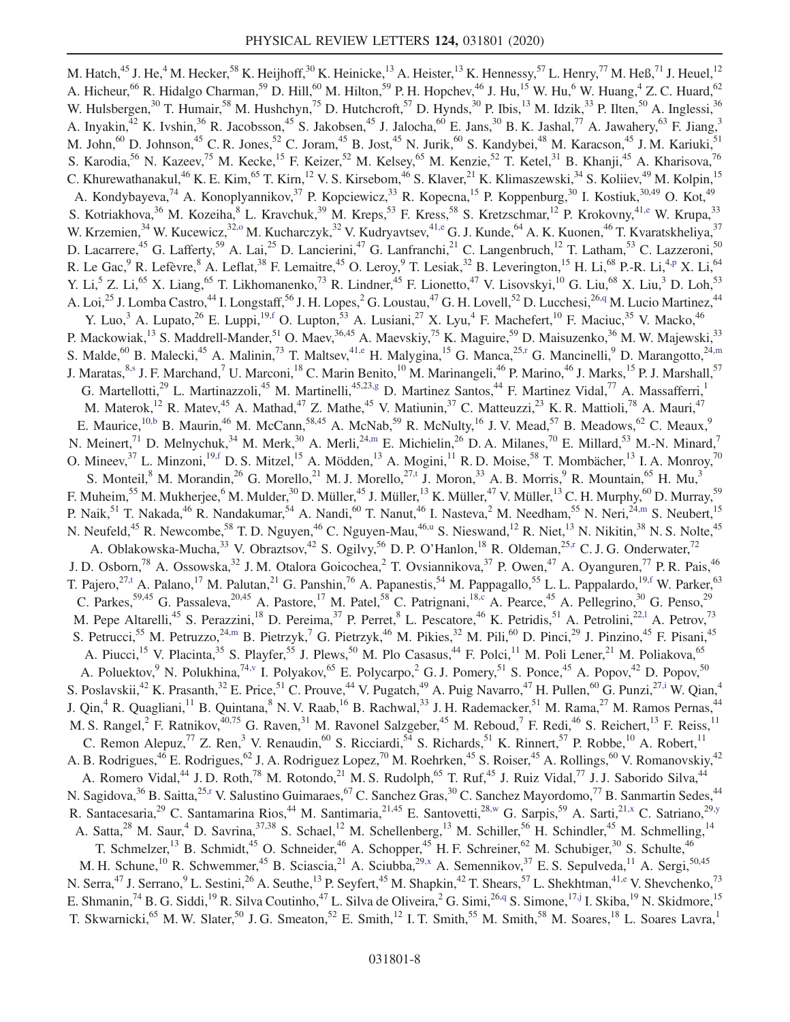<span id="page-8-9"></span><span id="page-8-8"></span><span id="page-8-7"></span><span id="page-8-6"></span><span id="page-8-5"></span><span id="page-8-4"></span><span id="page-8-3"></span><span id="page-8-2"></span><span id="page-8-1"></span><span id="page-8-0"></span>M. Hatch,<sup>45</sup> J. He,<sup>4</sup> M. Hecker,<sup>58</sup> K. Heijhoff,<sup>30</sup> K. Heinicke,<sup>13</sup> A. Heister,<sup>13</sup> K. Hennessy,<sup>57</sup> L. Henry,<sup>77</sup> M. Heß,<sup>71</sup> J. Heuel,<sup>12</sup> A. Hicheur,<sup>66</sup> R. Hidalgo Charman,<sup>59</sup> D. Hill,<sup>60</sup> M. Hilton,<sup>59</sup> P. H. Hopchev,<sup>46</sup> J. Hu,<sup>15</sup> W. Hu,<sup>6</sup> W. Huang,<sup>4</sup> Z. C. Huard,<sup>62</sup> W. Hulsbergen,<sup>30</sup> T. Humair,<sup>58</sup> M. Hushchyn,<sup>75</sup> D. Hutchcroft,<sup>57</sup> D. Hynds,<sup>30</sup> P. Ibis,<sup>13</sup> M. Idzik,<sup>33</sup> P. Ilten,<sup>50</sup> A. Inglessi,<sup>36</sup> A. Inyakin, $^{42}$  K. Ivshin, $^{36}$  R. Jacobsson, $^{45}$  S. Jakobsen, $^{45}$  J. Jalocha, $^{60}$  E. Jans, $^{30}$  B. K. Jashal, $^{77}$  A. Jawahery, $^{63}$  F. Jiang, $^{3}$ M. John,<sup>60</sup> D. Johnson,<sup>45</sup> C. R. Jones,<sup>52</sup> C. Joram,<sup>45</sup> B. Jost,<sup>45</sup> N. Jurik,<sup>60</sup> S. Kandybei,<sup>48</sup> M. Karacson,<sup>45</sup> J. M. Kariuki,<sup>51</sup> S. Karodia,<sup>56</sup> N. Kazeev,<sup>75</sup> M. Kecke,<sup>15</sup> F. Keizer,<sup>52</sup> M. Kelsey,<sup>65</sup> M. Kenzie,<sup>52</sup> T. Ketel,<sup>31</sup> B. Khanji,<sup>45</sup> A. Kharisova,<sup>76</sup> C. Khurewathanakul,<sup>46</sup> K. E. Kim,<sup>65</sup> T. Kirn,<sup>12</sup> V. S. Kirsebom,<sup>46</sup> S. Klaver,<sup>21</sup> K. Klimaszewski,<sup>34</sup> S. Koliiev,<sup>49</sup> M. Kolpin,<sup>15</sup> A. Kondybayeva,<sup>74</sup> A. Konoplyannikov,<sup>37</sup> P. Kopciewicz,<sup>33</sup> R. Kopecna,<sup>15</sup> P. Koppenburg,<sup>30</sup> I. Kostiuk,<sup>30,49</sup> O. Kot,<sup>49</sup> S. Kotriakhova,  $36$  M. Kozeiha,  $8$  L. Kravchuk,  $39$  M. Kreps,  $53$  F. Kress,  $58$  S. Kretzschmar,  $12$  P. Krokovny,  $41,$ e W. Krupa,  $33$ W. Krzemien,<sup>34</sup> W. Kucewicz,<sup>32,0</sup> M. Kucharczyk,<sup>32</sup> V. Kudryavtsev,<sup>41[,e](#page-11-3)</sup> G. J. Kunde,<sup>64</sup> A. K. Kuonen,<sup>46</sup> T. Kvaratskheliya,<sup>37</sup> D. Lacarrere,<sup>45</sup> G. Lafferty,<sup>59</sup> A. Lai,<sup>25</sup> D. Lancierini,<sup>47</sup> G. Lanfranchi,<sup>21</sup> C. Langenbruch,<sup>12</sup> T. Latham,<sup>53</sup> C. Lazzeroni,<sup>50</sup> R. Le Gac, <sup>9</sup> R. Lefèvre, <sup>8</sup> A. Leflat, <sup>38</sup> F. Lemaitre, <sup>45</sup> O. Leroy, <sup>9</sup> T. Lesiak, <sup>32</sup> B. Leverington, <sup>15</sup> H. Li, <sup>68</sup> P.-R. Li, <sup>[4,p](#page-11-15)</sup> X. Li, <sup>64</sup> Y. Li,<sup>5</sup> Z. Li,<sup>65</sup> X. Liang,<sup>65</sup> T. Likhomanenko,<sup>73</sup> R. Lindner,<sup>45</sup> F. Lionetto,<sup>47</sup> V. Lisovskyi,<sup>10</sup> G. Liu,<sup>68</sup> X. Liu,<sup>3</sup> D. Loh,<sup>53</sup> A. Loi,<sup>25</sup> J. Lomba Castro,<sup>44</sup> I. Longstaff,<sup>56</sup> J. H. Lopes, <sup>2</sup> G. Loustau,<sup>47</sup> G. H. Lovell,<sup>52</sup> D. Lucchesi,<sup>2[6,q](#page-11-16)</sup> M. Lucio Martinez,<sup>44</sup> Y. Luo,<sup>3</sup> A. Lupato,<sup>26</sup> E. Luppi,<sup>19[,f](#page-11-4)</sup> O. Lupton,<sup>53</sup> A. Lusiani,<sup>27</sup> X. Lyu,<sup>4</sup> F. Machefert,<sup>10</sup> F. Maciuc,<sup>35</sup> V. Macko,<sup>46</sup> P. Mackowiak,<sup>13</sup> S. Maddrell-Mander,<sup>51</sup> O. Maev,<sup>36,45</sup> A. Maevskiy,<sup>75</sup> K. Maguire,<sup>59</sup> D. Maisuzenko,<sup>36</sup> M. W. Majewski,<sup>33</sup> S. Malde, <sup>60</sup> B. Malecki, <sup>45</sup> A. Malinin, <sup>73</sup> T. Maltsev, <sup>4[1,e](#page-11-3)</sup> H. Malygina, <sup>15</sup> G. Manca, <sup>25[,r](#page-11-17)</sup> G. Mancinelli, <sup>9</sup> D. Marangotto, <sup>24[,m](#page-11-12)</sup> J. Maratas, <sup>8[,s](#page-11-18)</sup> J. F. Marchand,<sup>7</sup> U. Marconi,<sup>18</sup> C. Marin Benito,<sup>10</sup> M. Marinangeli,<sup>46</sup> P. Marino,<sup>46</sup> J. Marks,<sup>15</sup> P. J. Marshall,<sup>57</sup> G. Martellotti, $^{29}$  L. Martinazzoli, $^{45}$  M. Martinelli, $^{45,23,g}$  $^{45,23,g}$  $^{45,23,g}$  D. Martinez Santos, $^{44}$  F. Martinez Vidal, $^{77}$  A. Massafferri, $^{11}$ M. Materok,<sup>12</sup> R. Matev,<sup>45</sup> A. Mathad,<sup>47</sup> Z. Mathe,<sup>45</sup> V. Matiunin,<sup>37</sup> C. Matteuzzi,<sup>23</sup> K. R. Mattioli,<sup>78</sup> A. Mauri,<sup>47</sup> E. Maurice,<sup>10[,b](#page-11-0)</sup> B. Maurin,<sup>46</sup> M. McCann,<sup>58,45</sup> A. McNab,<sup>59</sup> R. McNulty,<sup>16</sup> J.V. Mead,<sup>57</sup> B. Meadows,<sup>62</sup> C. Meaux,<sup>9</sup> N. Meinert,<sup>71</sup> D. Melnychuk,<sup>34</sup> M. Merk,<sup>30</sup> A. Merli,<sup>24[,m](#page-11-12)</sup> E. Michielin,<sup>26</sup> D. A. Milanes,<sup>70</sup> E. Millard,<sup>53</sup> M.-N. Minard,<sup>7</sup> O. Mineev,  $3^7$  L. Minzoni,  $19, f$  D. S. Mitzel,  $15$  A. Mödden,  $13$  A. Mogini,  $11$  R. D. Moise,  $58$  T. Mombächer,  $13$  I. A. Monroy,  $70$ S. Monteil, <sup>8</sup> M. Morandin, <sup>26</sup> G. Morello, <sup>21</sup> M. J. Morello,  $^{27,t}$  $^{27,t}$  $^{27,t}$  J. Moron, <sup>33</sup> A. B. Morris, <sup>9</sup> R. Mountain, <sup>65</sup> H. Mu, <sup>3</sup> F. Muheim,<sup>55</sup> M. Mukherjee,<sup>6</sup> M. Mulder,<sup>30</sup> D. Müller,<sup>45</sup> J. Müller,<sup>13</sup> K. Müller,<sup>47</sup> V. Müller,<sup>13</sup> C. H. Murphy,<sup>60</sup> D. Murray,<sup>59</sup> P. Naik,<sup>51</sup> T. Nakada,<sup>46</sup> R. Nandakumar,<sup>54</sup> A. Nandi,<sup>60</sup> T. Nanut,<sup>46</sup> I. Nasteva,<sup>2</sup> M. Needham,<sup>55</sup> N. Neri,<sup>24[,m](#page-11-12)</sup> S. Neubert,<sup>15</sup> N. Neufeld,<sup>45</sup> R. Newcombe,<sup>58</sup> T. D. Nguyen,<sup>46</sup> C. Nguyen-Mau,<sup>4[6,u](#page-11-20)</sup> S. Nieswand,<sup>12</sup> R. Niet,<sup>13</sup> N. Nikitin,<sup>38</sup> N. S. Nolte,<sup>45</sup> A. Oblakowska-Mucha,<sup>33</sup> V. Obraztsov,<sup>42</sup> S. Ogilvy,<sup>56</sup> D. P. O'Hanlon,<sup>18</sup> R. Oldeman,<sup>25[,r](#page-11-17)</sup> C. J. G. Onderwater,<sup>72</sup> J. D. Osborn,<sup>78</sup> A. Ossowska,<sup>32</sup> J. M. Otalora Goicochea,<sup>2</sup> T. Ovsiannikova,<sup>37</sup> P. Owen,<sup>47</sup> A. Oyanguren,<sup>77</sup> P. R. Pais,<sup>46</sup> T. Pajero,<sup>2[7,t](#page-11-19)</sup> A. Palano,<sup>17</sup> M. Palutan,<sup>21</sup> G. Panshin,<sup>76</sup> A. Papanestis,<sup>54</sup> M. Pappagallo,<sup>55</sup> L. L. Pappalardo,<sup>19[,f](#page-11-4)</sup> W. Parker,<sup>63</sup> C. Parkes,  $59,45$  G. Passaleva,  $20,45$  A. Pastore,  $17$  M. Patel,  $58$  C. Patrignani,  $18, c$  A. Pearce,  $45$  A. Pellegrino,  $30$  G. Penso,  $29$ M. Pepe Altarelli,<sup>45</sup> S. Perazzini,<sup>18</sup> D. Pereima,<sup>37</sup> P. Perret,<sup>8</sup> L. Pescatore,<sup>46</sup> K. Petridis,<sup>51</sup> A. Petrolini,<sup>22,1</sup> A. Petrov,<sup>73</sup> S. Petrucci,<sup>55</sup> M. Petruzzo,<sup>2[4,m](#page-11-12)</sup> B. Pietrzyk,<sup>7</sup> G. Pietrzyk,<sup>46</sup> M. Pikies,<sup>32</sup> M. Pili,<sup>60</sup> D. Pinci,<sup>29</sup> J. Pinzino,<sup>45</sup> F. Pisani,<sup>45</sup> A. Piucci,<sup>15</sup> V. Placinta,<sup>35</sup> S. Playfer,<sup>55</sup> J. Plews,<sup>50</sup> M. Plo Casasus,<sup>44</sup> F. Polci,<sup>11</sup> M. Poli Lener,<sup>21</sup> M. Poliakova,<sup>65</sup> A. Poluektov,  $9^9$  N. Polukhina,<sup>7[4,v](#page-11-21)</sup> I. Polyakov,  $^{65}$  E. Polycarpo,  $^{2}$  G. J. Pomery,<sup>51</sup> S. Ponce,<sup>45</sup> A. Popov,<sup>42</sup> D. Popov,<sup>50</sup> S. Poslavskii,<sup>42</sup> K. Prasanth,<sup>32</sup> E. Price,<sup>51</sup> C. Prouve,<sup>44</sup> V. Pugatch,<sup>49</sup> A. Puig Navarro,<sup>47</sup> H. Pullen,<sup>60</sup> G. Punzi,<sup>2[7,i](#page-11-7)</sup> W. Qian,<sup>4</sup> J. Qin,<sup>4</sup> R. Quagliani,<sup>11</sup> B. Quintana,<sup>8</sup> N. V. Raab,<sup>16</sup> B. Rachwal,<sup>33</sup> J. H. Rademacker,<sup>51</sup> M. Rama,<sup>27</sup> M. Ramos Pernas,<sup>44</sup> M. S. Rangel, <sup>2</sup> F. Ratnikov, <sup>40,75</sup> G. Raven, <sup>31</sup> M. Ravonel Salzgeber, <sup>45</sup> M. Reboud, <sup>7</sup> F. Redi, <sup>46</sup> S. Reichert, <sup>13</sup> F. Reiss, <sup>11</sup> C. Remon Alepuz,<sup>77</sup> Z. Ren,<sup>3</sup> V. Renaudin,<sup>60</sup> S. Ricciardi,<sup>54</sup> S. Richards,<sup>51</sup> K. Rinnert,<sup>57</sup> P. Robbe,<sup>10</sup> A. Robert,<sup>11</sup> A. B. Rodrigues,<sup>46</sup> E. Rodrigues,<sup>62</sup> J. A. Rodriguez Lopez,<sup>70</sup> M. Roehrken,<sup>45</sup> S. Roiser,<sup>45</sup> A. Rollings,<sup>60</sup> V. Romanovskiy,<sup>42</sup> A. Romero Vidal,<sup>44</sup> J. D. Roth,<sup>78</sup> M. Rotondo,<sup>21</sup> M. S. Rudolph,<sup>65</sup> T. Ruf,<sup>45</sup> J. Ruiz Vidal,<sup>77</sup> J. J. Saborido Silva,<sup>44</sup> N. Sagidova,<sup>36</sup> B. Saitta,<sup>2[5,r](#page-11-17)</sup> V. Salustino Guimaraes,<sup>67</sup> C. Sanchez Gras,<sup>30</sup> C. Sanchez Mayordomo,<sup>77</sup> B. Sanmartin Sedes,<sup>44</sup> R. Santacesaria,<sup>29</sup> C. Santamarina Rios,<sup>44</sup> M. Santimaria,<sup>21,45</sup> E. Santovetti,<sup>28[,w](#page-11-22)</sup> G. Sarpis,<sup>59</sup> A. Sarti,<sup>21[,x](#page-11-23)</sup> C. Satriano,<sup>29[,y](#page-11-24)</sup> A. Satta,<sup>28</sup> M. Saur,<sup>4</sup> D. Savrina,<sup>37,38</sup> S. Schael,<sup>12</sup> M. Schellenberg,<sup>13</sup> M. Schiller,<sup>56</sup> H. Schindler,<sup>45</sup> M. Schmelling,<sup>14</sup> T. Schmelzer,<sup>13</sup> B. Schmidt,<sup>45</sup> O. Schneider,<sup>46</sup> A. Schopper,<sup>45</sup> H. F. Schreiner,<sup>62</sup> M. Schubiger,<sup>30</sup> S. Schulte,<sup>46</sup> M. H. Schune,<sup>10</sup> R. Schwemmer,<sup>45</sup> B. Sciascia,<sup>21</sup> A. Sciubba,<sup>2[9,x](#page-11-23)</sup> A. Semennikov,<sup>37</sup> E. S. Sepulveda,<sup>11</sup> A. Sergi,<sup>50,45</sup> N. Serra,<sup>47</sup> J. Serrano,<sup>9</sup> L. Sestini,<sup>26</sup> A. Seuthe,<sup>13</sup> P. Seyfert,<sup>45</sup> M. Shapkin,<sup>42</sup> T. Shears,<sup>57</sup> L. Shekhtman,<sup>4[1,e](#page-11-3)</sup> V. Shevchenko,<sup>73</sup> E. Shmanin,<sup>74</sup> B. G. Siddi,<sup>19</sup> R. Silva Coutinho,<sup>47</sup> L. Silva de Oliveira,<sup>2</sup> G. Simi,<sup>2[6,q](#page-11-16)</sup> S. Simone,<sup>1[7,j](#page-11-8)</sup> I. Skiba,<sup>19</sup> N. Skidmore,<sup>15</sup> T. Skwarnicki,<sup>65</sup> M. W. Slater,<sup>50</sup> J. G. Smeaton,<sup>52</sup> E. Smith,<sup>12</sup> I. T. Smith,<sup>55</sup> M. Smith,<sup>58</sup> M. Soares,<sup>18</sup> L. Soares Lavra,<sup>1</sup>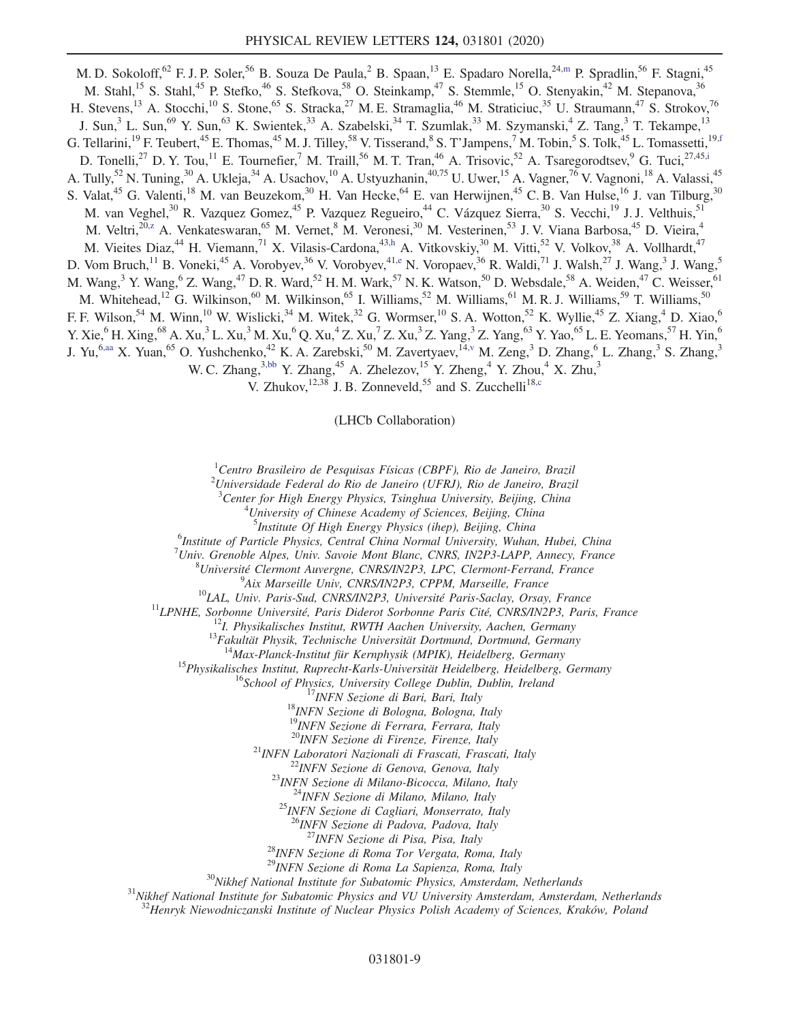<span id="page-9-0"></span>M. D. Sokoloff,<sup>62</sup> F. J. P. Soler,<sup>56</sup> B. Souza De Paula,<sup>2</sup> B. Spaan,<sup>13</sup> E. Spadaro Norella,<sup>24[,m](#page-11-12)</sup> P. Spradlin,<sup>56</sup> F. Stagni,<sup>45</sup> M. Stahl,<sup>15</sup> S. Stahl,<sup>45</sup> P. Stefko,<sup>46</sup> S. Stefkova,<sup>58</sup> O. Steinkamp,<sup>47</sup> S. Stemmle,<sup>15</sup> O. Stenyakin,<sup>42</sup> M. Stepanova,<sup>36</sup> H. Stevens,<sup>13</sup> A. Stocchi,<sup>10</sup> S. Stone,<sup>65</sup> S. Stracka,<sup>27</sup> M. E. Stramaglia,<sup>46</sup> M. Straticiuc,<sup>35</sup> U. Straumann,<sup>47</sup> S. Strokov,<sup>76</sup> J. Sun,<sup>3</sup> L. Sun,<sup>69</sup> Y. Sun,<sup>63</sup> K. Swientek,<sup>33</sup> A. Szabelski,<sup>34</sup> T. Szumlak,<sup>33</sup> M. Szymanski,<sup>4</sup> Z. Tang,<sup>3</sup> T. Tekampe,<sup>13</sup> G. Tellarini,<sup>19</sup> F. Teubert,<sup>45</sup> E. Thomas,<sup>45</sup> M. J. Tilley,<sup>58</sup> V. Tisserand,<sup>8</sup> S. T'Jampens,<sup>7</sup> M. Tobin,<sup>5</sup> S. Tolk,<sup>45</sup> L. Tomassetti,<sup>19[,f](#page-11-4)</sup> D. Tonelli,<sup>27</sup> D. Y. Tou,<sup>11</sup> E. Tournefier,<sup>7</sup> M. Traill,<sup>56</sup> M. T. Tran,<sup>46</sup> A. Trisovic,<sup>52</sup> A. Tsaregorodtsev,<sup>9</sup> G. Tuci,<sup>27,45[,i](#page-11-7)</sup> A. Tully,<sup>52</sup> N. Tuning,<sup>30</sup> A. Ukleja,<sup>34</sup> A. Usachov,<sup>10</sup> A. Ustyuzhanin,<sup>40,75</sup> U. Uwer,<sup>15</sup> A. Vagner,<sup>76</sup> V. Vagnoni,<sup>18</sup> A. Valassi,<sup>45</sup> S. Valat,<sup>45</sup> G. Valenti,<sup>18</sup> M. van Beuzekom,<sup>30</sup> H. Van Hecke,<sup>64</sup> E. van Herwijnen,<sup>45</sup> C. B. Van Hulse,<sup>16</sup> J. van Tilburg,<sup>30</sup> M. van Veghel,<sup>30</sup> R. Vazquez Gomez,<sup>45</sup> P. Vazquez Regueiro,<sup>44</sup> C. Vázquez Sierra,<sup>30</sup> S. Vecchi,<sup>19</sup> J. J. Velthuis,<sup>51</sup> M. Veltri,<sup>20[,z](#page-11-25)</sup> A. Venkateswaran,<sup>65</sup> M. Vernet,<sup>8</sup> M. Veronesi,<sup>30</sup> M. Vesterinen,<sup>53</sup> J. V. Viana Barbosa,<sup>45</sup> D. Vieira,<sup>4</sup> M. Vieites Diaz,<sup>44</sup> H. Viemann,<sup>71</sup> X. Vilasis-Cardona,<sup>4[3,h](#page-11-6)</sup> A. Vitkovskiy,<sup>30</sup> M. Vitti,<sup>52</sup> V. Volkov,<sup>38</sup> A. Vollhardt,<sup>47</sup> D. Vom Bruch,<sup>11</sup> B. Voneki,<sup>45</sup> A. Vorobyev,<sup>36</sup> V. Vorobyev,<sup>41[,e](#page-11-3)</sup> N. Voropaev,<sup>36</sup> R. Waldi,<sup>71</sup> J. Walsh,<sup>27</sup> J. Wang,<sup>3</sup> J. Wang,<sup>5</sup> M. Wang,<sup>3</sup> Y. Wang,<sup>6</sup> Z. Wang,<sup>47</sup> D. R. Ward,<sup>52</sup> H. M. Wark,<sup>57</sup> N. K. Watson,<sup>50</sup> D. Websdale,<sup>58</sup> A. Weiden,<sup>47</sup> C. Weisser,<sup>61</sup> M. Whitehead,<sup>12</sup> G. Wilkinson,<sup>60</sup> M. Wilkinson,<sup>65</sup> I. Williams,<sup>52</sup> M. Williams,<sup>61</sup> M. R. J. Williams,<sup>59</sup> T. Williams,<sup>50</sup> F. F. Wilson,<sup>54</sup> M. Winn,<sup>10</sup> W. Wislicki,<sup>34</sup> M. Witek,<sup>32</sup> G. Wormser,<sup>10</sup> S. A. Wotton,<sup>52</sup> K. Wyllie,<sup>45</sup> Z. Xiang,<sup>4</sup> D. Xiao,<sup>6</sup> Y. Xie,  $^{6}$  H. Xing,  $^{68}$  A. Xu,  $^{3}$  L. Xu,  $^{3}$  M. Xu,  $^{6}$  Q. Xu,  $^{4}$  Z. Xu,  $^{7}$  Z. Xu,  $^{3}$  Z. Yang,  $^{3}$  Z. Yang,  $^{63}$  Y. Yao,  $^{65}$  L. E. Yeomans,  $^{57}$  H. Yin,  $^{6}$ J. Yu,<sup>6[,aa](#page-11-26)</sup> X. Yuan,<sup>65</sup> O. Yushchenko,<sup>42</sup> K. A. Zarebski,<sup>50</sup> M. Zavertyaev,<sup>1[4,v](#page-11-21)</sup> M. Zeng,<sup>3</sup> D. Zhang,<sup>6</sup> L. Zhang,<sup>3</sup> S. Zhang,<sup>3</sup> W. C. Zhang,  $3,bb \, Y$  $3,bb \, Y$  $3,bb \, Y$ . Zhang,  $45 \,$  A. Zhelezov,  $15 \, Y$ . Zheng,  $4 \, Y$ . Zhou,  $4 \, X$ . Zhu,  $3 \,$ V. Zhukov,  $^{12,38}$  J. B. Zonneveld, <sup>55</sup> and S. Zucchelli<sup>1[8,c](#page-11-1)</sup>

(LHCb Collaboration)

<span id="page-9-2"></span><span id="page-9-1"></span> ${}^{1}$ Centro Brasileiro de Pesquisas Físicas (CBPF), Rio de Janeiro, Brazil

 $^{2}$ Universidade Federal do Rio de Janeiro (UFRJ), Rio de Janeiro, Brazil

<sup>3</sup> Center for High Energy Physics, Tsinghua University, Beijing, China  $4I_{\text{Linear}}$  of Chinasa Agadamy of Sciences, Beijing, China  $^{4}$ University of Chinese Academy of Sciences, Beijing, China

<sup>5</sup>Institute Of High Energy Physics (ihep), Beijing, China<br><sup>6</sup>Institute of Barticle Physics, Central China Namual University, Wakan  $<sup>6</sup>$ Institute of Particle Physics, Central China Normal University, Wuhan, Hubei, China</sup>

<sup>7</sup>Univ. Grenoble Alpes, Univ. Savoie Mont Blanc, CNRS, IN2P3-LAPP, Annecy, France  ${}^{8}$ Université Clermont Auvergne, CNPS/IN2P3, LPC, Clermont Extrand, Example

 ${}^{8}$ Université Clermont Auvergne, CNRS/IN2P3, LPC, Clermont-Ferrand, France

<sup>9</sup>Aix Marseille Univ, CNRS/IN2P3, CPPM, Marseille, France

<sup>10</sup>LAL, Univ. Paris-Sud, CNRS/IN2P3, Université Paris-Saclay, Orsay, France<br><sup>11</sup>LPNHE, Sorbonne Université, Paris Diderot Sorbonne Paris Cité, CNRS/IN2P3, Paris, France<br><sup>12</sup>I. Physikalisches Institut, RWTH Aachen Univers

<sup>15</sup>Physikalisches Institut, Ruprecht-Karls-Universität Heidelberg, Heidelberg, Germany<br><sup>16</sup>School of Physics, University College Dublin, Dublin, Ireland<br><sup>17</sup>INFN Sezione di Bari, Bari, Italy<br><sup>18</sup>INFN Sezione di Bologna,

<sup>19</sup>INFN Sezione di Ferrara, Ferrara, Italy<br><sup>20</sup>INFN Sezione di Firenze, Firenze, Italy

<sup>21</sup>INFN Laboratori Nazionali di Frascati, Frascati, Italy<br><sup>22</sup>INFN Sezione di Genova, Genova, Italy<br><sup>23</sup>INFN Sezione di Milano-Bicocca, Milano, Italy<br><sup>24</sup>INFN Sezione di Milano, Milano, Italy<br><sup>25</sup>INFN Sezione di Cagliari

<sup>26</sup>INFN Sezione di Padova, Padova, Italy<br><sup>27</sup>INFN Sezione di Pisa, Pisa, Italy

 $^{28}$ INFN Sezione di Roma Tor Vergata, Roma, Italy  $^{29}$ INFN Sezione di Roma La Sapienza, Roma, Italy

<sup>31</sup>Nikhef National Institute for Subatomic Physics, Amsterdam, Netherlands <sup>31</sup>Nikhef National Institute for Subatomic Physics and VU University Amsterdam, Amsterdam, Netherlands

 $32$ Henryk Niewodniczanski Institute of Nuclear Physics Polish Academy of Sciences, Kraków, Poland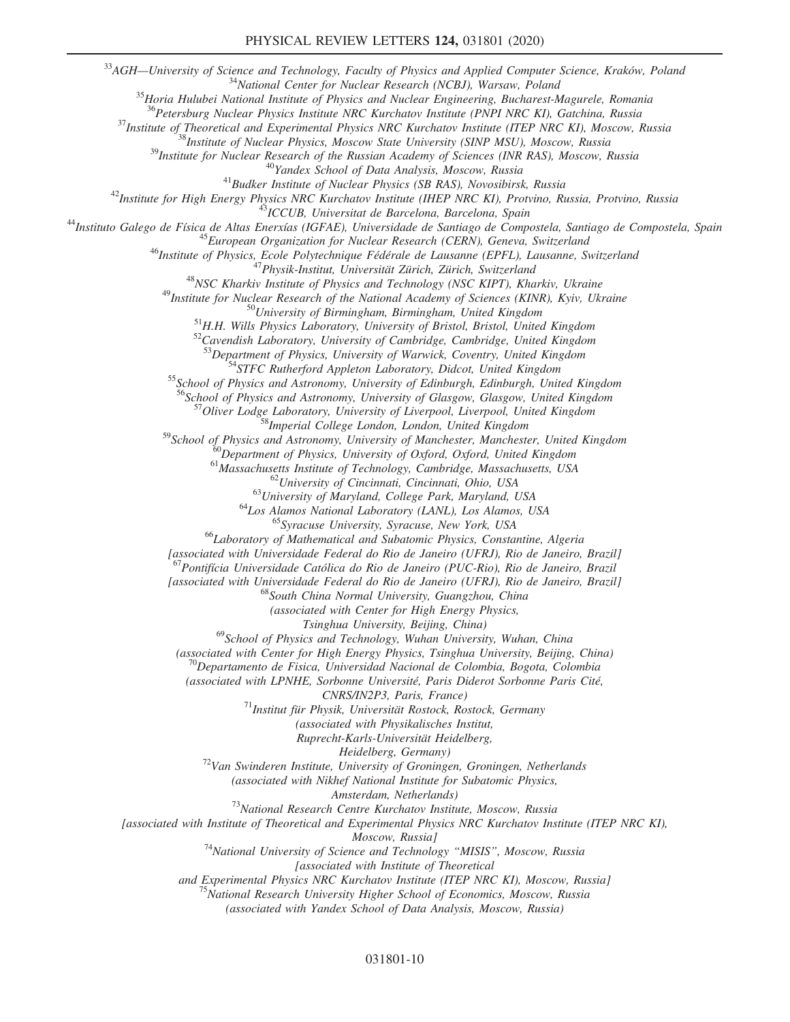<sup>33</sup>AGH—University of Science and Technology, Faculty of Physics and Applied Computer Science, Kraków, Poland<br><sup>34</sup>National Center for Nuclear Research (NCBJ), Warsaw, Poland<br><sup>35</sup>Horia Hulubei National Institute of Physics

 $\begin{array}{c} \begin{array}{c} \begin{array}{c} \begin{array}{c} \begin{array}{c} \begin{array}{c} \begin{array}{c} \begin{array}{c} \begin{array}{c} \begin{array}{c} \begin{array}{c} \begin{array}{c} \begin{array}{c} \end{array}{c} \end{array} & \text{Nuclear Physics Institute NRC Kurchatov Institute (PNPI NRC KII), Gatchina, Russia \\ \end{array} \end{array} & \begin{array}{c} \begin{array}{c} \begin{array}{c} \begin{array}{c} \begin{array}{c} \end{array}{c} \end{array} & \text{Nustitute of Nlecerical and Experimental Physics NRC Kurchatov Institute (TEP$ 

 $^{53}$ Department of Physics, University of Warwick, Coventry, United Kingdom  $^{54}$ STFC Rutherford Appleton Laboratory, Didcot, United Kingdom  $^{55}$ School of Physics and Astronomy, University of Edinburgh, Edinburgh, Uni

<sup>56</sup>School of Physics and Astronomy, University of Glasgow, Glasgow, United Kingdom 57Oliver Lodge Laboratory, University of Liverpool, Liverpool, United Kingdom 58<sup>58</sup>Imperial College London, London, United Kingdom

<sup>59</sup>School of Physics and Astronomy, University of Manchester, Manchester, United Kingdom<br><sup>60</sup>Department of Physics, University of Oxford, Oxford, United Kingdom<br><sup>61</sup>Massachusetts Institute of Technology, Cambridge, Massa

[associated with Universidade Federal do Rio de Janeiro (UFRJ), Rio de Janeiro, Brazil]

 $^{57}$ Pontifícia Universidade Católica do Rio de Janeiro (PUC-Rio), Rio de Janeiro, Brazil

[associated with Universidade Federal do Rio de Janeiro (UFRJ), Rio de Janeiro, Brazil] <sup>68</sup>South China Normal University, Guangzhou, China

(associated with Center for High Energy Physics,

Tsinghua University, Beijing, China)

 $^{69}$ School of Physics and Technology, Wuhan University, Wuhan, China

(associated with Center for High Energy Physics, Tsinghua University, Beijing, China)  $^{70}$ Departamento de Fisica, Universidad Nacional de Colombia, Bogota, Colombia

(associated with LPNHE, Sorbonne Université, Paris Diderot Sorbonne Paris Cité,

 $CNRS/IN2P3$ , Paris, France)<br><sup>71</sup>Institut für Physik, Universität Rostock, Rostock, Germany

(associated with Physikalisches Institut,

Ruprecht-Karls-Universität Heidelberg,

Heidelberg, Germany)<br><sup>72</sup>Van Swinderen Institute, University of Groningen, Groningen, Netherlands

(associated with Nikhef National Institute for Subatomic Physics,

Amsterdam, Netherlands)<br><sup>73</sup>National Research Centre Kurchatov Institute, Moscow, Russia

[associated with Institute of Theoretical and Experimental Physics NRC Kurchatov Institute (ITEP NRC KI),

Moscow, Russia]<br><sup>74</sup>National University of Science and Technology "MISIS", Moscow, Russia

[associated with Institute of Theoretical<br>[and Experimental Physics NRC Kurchatov Institute (ITEP NRC KI), Moscow, Russia

<sup>75</sup>National Research University Higher School of Economics, Moscow, Russia

(associated with Yandex School of Data Analysis, Moscow, Russia)